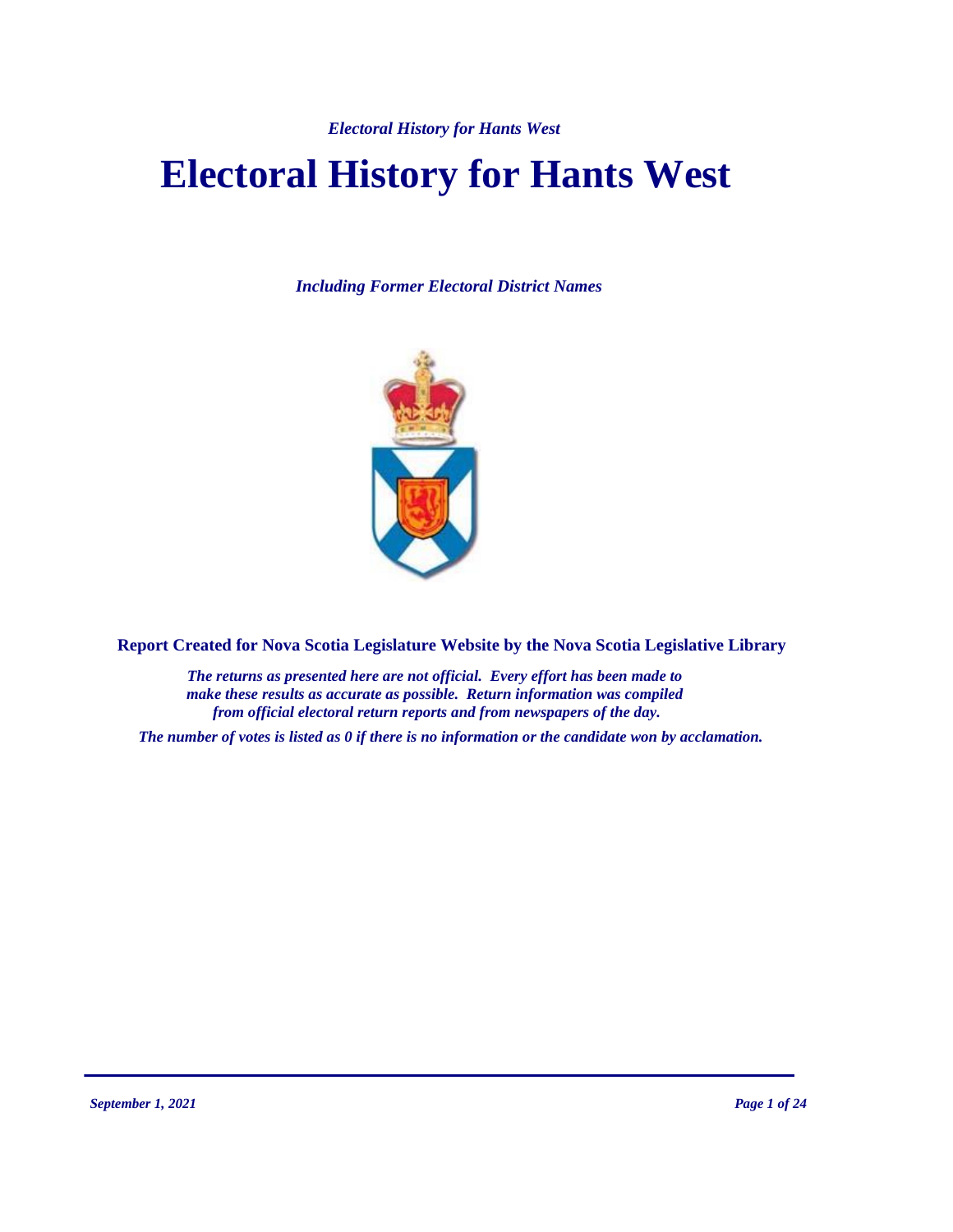# **Electoral History for Hants West**

*Including Former Electoral District Names*



**Report Created for Nova Scotia Legislature Website by the Nova Scotia Legislative Library**

*The returns as presented here are not official. Every effort has been made to make these results as accurate as possible. Return information was compiled from official electoral return reports and from newspapers of the day.*

*The number of votes is listed as 0 if there is no information or the candidate won by acclamation.*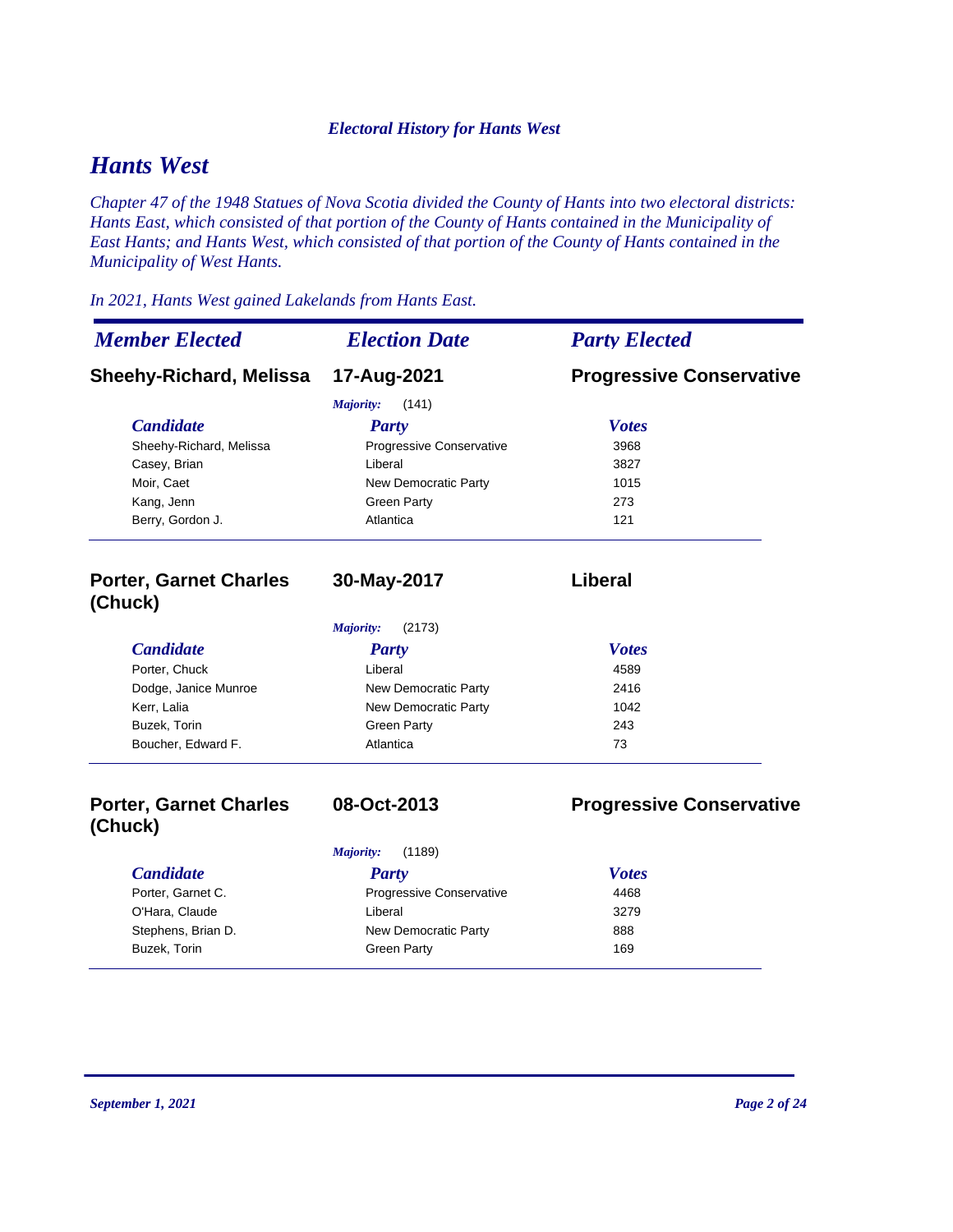# *Hants West*

*Chapter 47 of the 1948 Statues of Nova Scotia divided the County of Hants into two electoral districts: Hants East, which consisted of that portion of the County of Hants contained in the Municipality of East Hants; and Hants West, which consisted of that portion of the County of Hants contained in the Municipality of West Hants.* 

### *In 2021, Hants West gained Lakelands from Hants East.*

| <b>Member Elected</b>                    | <b>Election Date</b>     | <b>Party Elected</b>            |
|------------------------------------------|--------------------------|---------------------------------|
| <b>Sheehy-Richard, Melissa</b>           | 17-Aug-2021              | <b>Progressive Conservative</b> |
|                                          | Majority:<br>(141)       |                                 |
| <b>Candidate</b>                         | <b>Party</b>             | <b>Votes</b>                    |
| Sheehy-Richard, Melissa                  | Progressive Conservative | 3968                            |
| Casey, Brian                             | Liberal                  | 3827                            |
| Moir, Caet                               | New Democratic Party     | 1015                            |
| Kang, Jenn                               | <b>Green Party</b>       | 273                             |
| Berry, Gordon J.                         | Atlantica                | 121                             |
| <b>Porter, Garnet Charles</b><br>(Chuck) | 30-May-2017              | Liberal                         |
|                                          | Majority:<br>(2173)      |                                 |
| <b>Candidate</b>                         | <b>Party</b>             | <b>Votes</b>                    |
| Porter, Chuck                            | Liberal                  | 4589                            |
| Dodge, Janice Munroe                     | New Democratic Party     | 2416                            |
| Kerr, Lalia                              | New Democratic Party     | 1042                            |
| Buzek, Torin                             | <b>Green Party</b>       | 243                             |
| Boucher, Edward F.                       | Atlantica                | 73                              |

# **Porter, Garnet Charles (Chuck)**

**08-Oct-2013 Progressive Conservative**

| (1189)<br>Majority: |                          |              |
|---------------------|--------------------------|--------------|
| <i>Candidate</i>    | Party                    | <b>Votes</b> |
| Porter, Garnet C.   | Progressive Conservative | 4468         |
| O'Hara, Claude      | Liberal                  | 3279         |
| Stephens, Brian D.  | New Democratic Party     | 888          |
| Buzek, Torin        | Green Party              | 169          |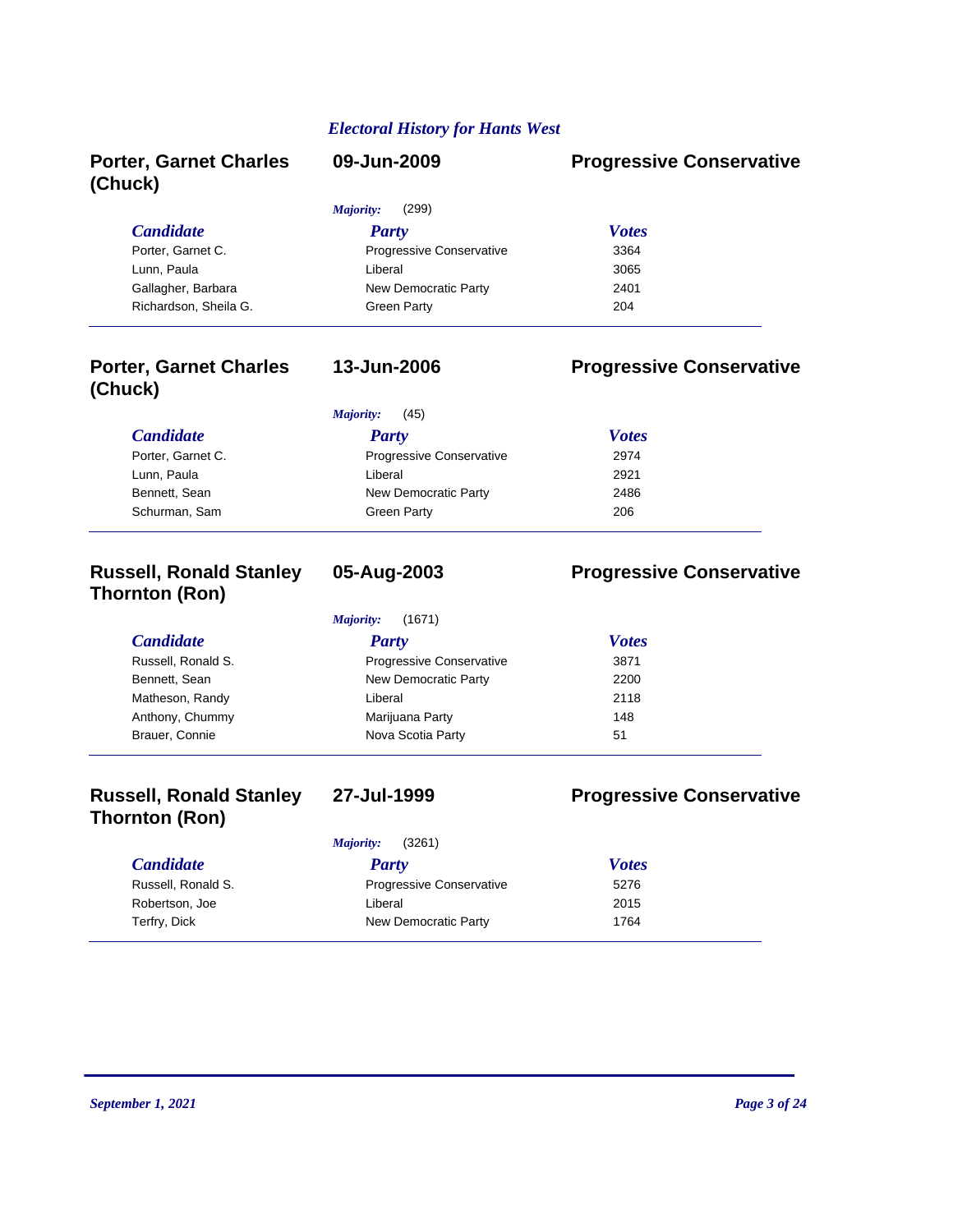| <b>Porter, Garnet Charles</b><br>(Chuck) | 09-Jun-2009              | <b>Progressive Conservative</b> |
|------------------------------------------|--------------------------|---------------------------------|
|                                          | (299)<br>Majority:       |                                 |
| <b>Candidate</b>                         | <b>Party</b>             | <b>Votes</b>                    |
| Porter, Garnet C.                        | Progressive Conservative | 3364                            |
| Lunn, Paula                              | Liberal                  | 3065                            |
| Gallagher, Barbara                       | New Democratic Party     | 2401                            |
| Richardson, Sheila G.                    | Green Party              | 204                             |

## **Porter, Garnet Charles (Chuck)**

# **13-Jun-2006 Progressive Conservative**

|                   | (45)<br>Majority:        |              |
|-------------------|--------------------------|--------------|
| <b>Candidate</b>  | <b>Party</b>             | <b>Votes</b> |
| Porter, Garnet C. | Progressive Conservative | 2974         |
| Lunn, Paula       | Liberal                  | 2921         |
| Bennett, Sean     | New Democratic Party     | 2486         |
| Schurman, Sam     | Green Party              | 206          |

# **Russell, Ronald Stanley Thornton (Ron)**

# **05-Aug-2003 Progressive Conservative**

# *Candidate Party Votes Majority:* (1671)

| Russell, Ronald S. | <b>Progressive Conservative</b> | 3871 |  |
|--------------------|---------------------------------|------|--|
| Bennett, Sean      | New Democratic Party            | 2200 |  |
| Matheson, Randy    | Liberal                         | 2118 |  |
| Anthony, Chummy    | Marijuana Party                 | 148  |  |
| Brauer, Connie     | Nova Scotia Party               | 51   |  |
|                    |                                 |      |  |

# **Russell, Ronald Stanley Thornton (Ron)**

## **27-Jul-1999 Progressive Conservative**

| (3261)<br>Majority: |                                 |              |
|---------------------|---------------------------------|--------------|
| <b>Candidate</b>    | Party                           | <b>Votes</b> |
| Russell, Ronald S.  | <b>Progressive Conservative</b> | 5276         |
| Robertson, Joe      | Liberal                         | 2015         |
| Terfry, Dick        | New Democratic Party            | 1764         |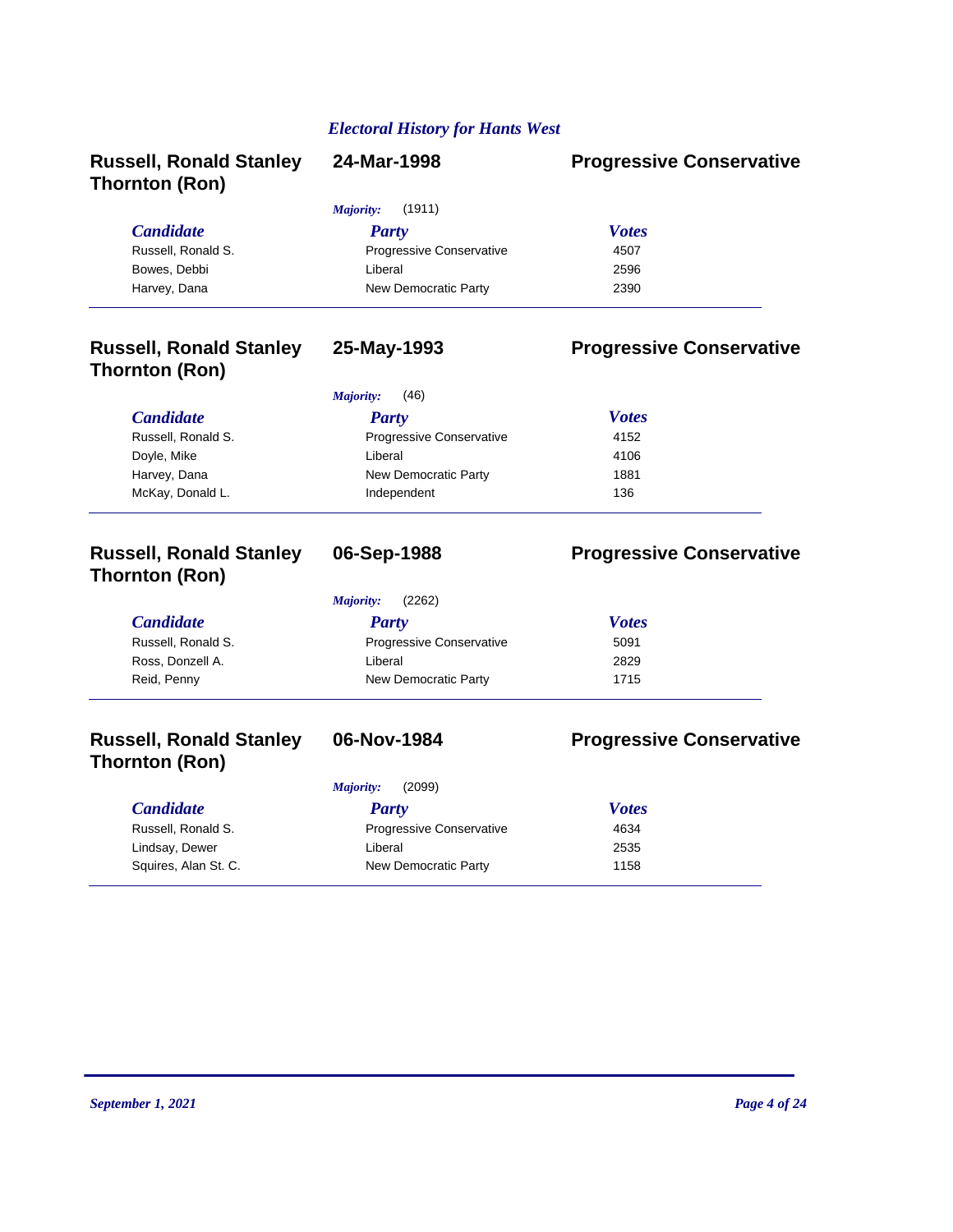| 24-Mar-1998              | <b>Progressive Conservative</b> |
|--------------------------|---------------------------------|
| (1911)<br>Majority:      |                                 |
| <b>Party</b>             | <b>Votes</b>                    |
| Progressive Conservative | 4507                            |
| Liberal                  | 2596                            |
| New Democratic Party     | 2390                            |
| 25-May-1993              | <b>Progressive Conservative</b> |
| (46)<br>Majority:        |                                 |
| <b>Party</b>             | <b>Votes</b>                    |
| Progressive Conservative | 4152                            |
| Liberal                  | 4106                            |
| New Democratic Party     | 1881                            |
|                          | 136                             |
|                          | Independent                     |

# **Russell, Ronald Stanley Thornton (Ron)**

*Majority:* (2262)

| $1.200 \times 10^{14}$ |                          |              |  |
|------------------------|--------------------------|--------------|--|
| <i>Candidate</i>       | Party                    | <b>Votes</b> |  |
| Russell, Ronald S.     | Progressive Conservative | 5091         |  |
| Ross, Donzell A.       | Liberal                  | 2829         |  |
| Reid, Penny            | New Democratic Party     | 1715         |  |
|                        |                          |              |  |

# **Russell, Ronald Stanley Thornton (Ron)**

*Majority:* (2099)

### *Candidate Party Votes* Russell, Ronald S. **Progressive Conservative** 4634 Lindsay, Dewer **Liberal** Liberal 2535 Squires, Alan St. C. New Democratic Party 1158

# **06-Sep-1988 Progressive Conservative**

**06-Nov-1984 Progressive Conservative**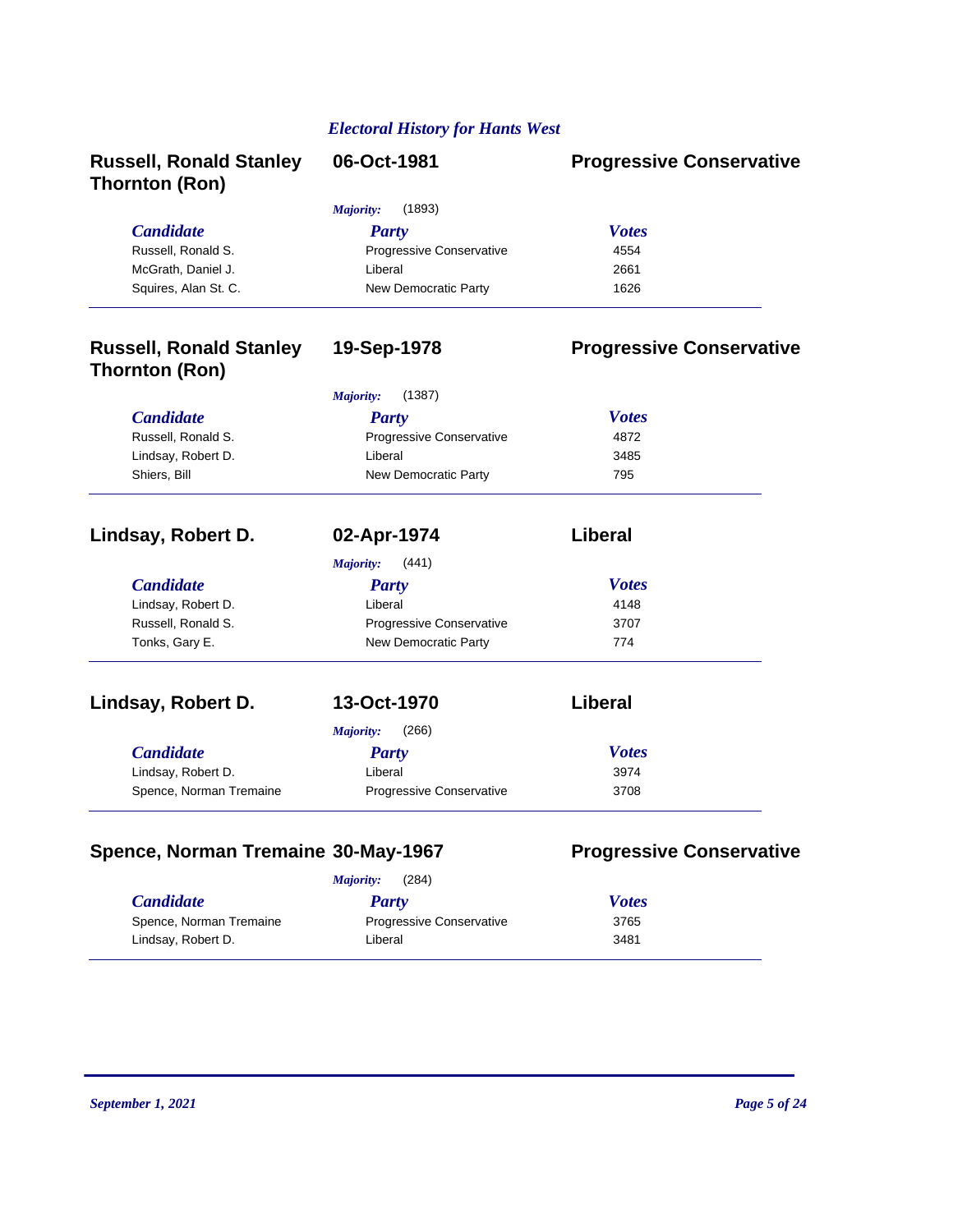| <b>Russell, Ronald Stanley</b><br><b>Thornton (Ron)</b> | 06-Oct-1981               | <b>Progressive Conservative</b> |
|---------------------------------------------------------|---------------------------|---------------------------------|
|                                                         | Majority:<br>(1893)       |                                 |
| <b>Candidate</b>                                        | <b>Party</b>              | <b>Votes</b>                    |
| Russell, Ronald S.                                      | Progressive Conservative  | 4554                            |
| McGrath, Daniel J.                                      | Liberal                   | 2661                            |
| Squires, Alan St. C.                                    | New Democratic Party      | 1626                            |
| <b>Russell, Ronald Stanley</b><br><b>Thornton (Ron)</b> | 19-Sep-1978               | <b>Progressive Conservative</b> |
|                                                         | (1387)<br>Majority:       |                                 |
| <b>Candidate</b>                                        | <b>Party</b>              | <b>Votes</b>                    |
| Russell, Ronald S.                                      | Progressive Conservative  | 4872                            |
| Lindsay, Robert D.                                      | Liberal                   | 3485                            |
| Shiers, Bill                                            | New Democratic Party      | 795                             |
| Lindsay, Robert D.                                      | 02-Apr-1974               | <b>Liberal</b>                  |
|                                                         | Majority:<br>(441)        |                                 |
| <b>Candidate</b>                                        | <b>Party</b>              | <b>Votes</b>                    |
| Lindsay, Robert D.                                      | Liberal                   | 4148                            |
| Russell, Ronald S.                                      | Progressive Conservative  | 3707                            |
| Tonks, Gary E.                                          | New Democratic Party      | 774                             |
| Lindsay, Robert D.                                      | 13-Oct-1970               | <b>Liberal</b>                  |
|                                                         | <b>Majority:</b><br>(266) |                                 |
| <b>Candidate</b>                                        | <b>Party</b>              | <b>Votes</b>                    |
| Lindsay, Robert D.                                      | Liberal                   | 3974                            |
| Spence, Norman Tremaine                                 | Progressive Conservative  | 3708                            |

# *Candidate Party Votes Majority:* (284) Spence, Norman Tremaine **Progressive Conservative** 3765 Lindsay, Robert D. Liberal 3481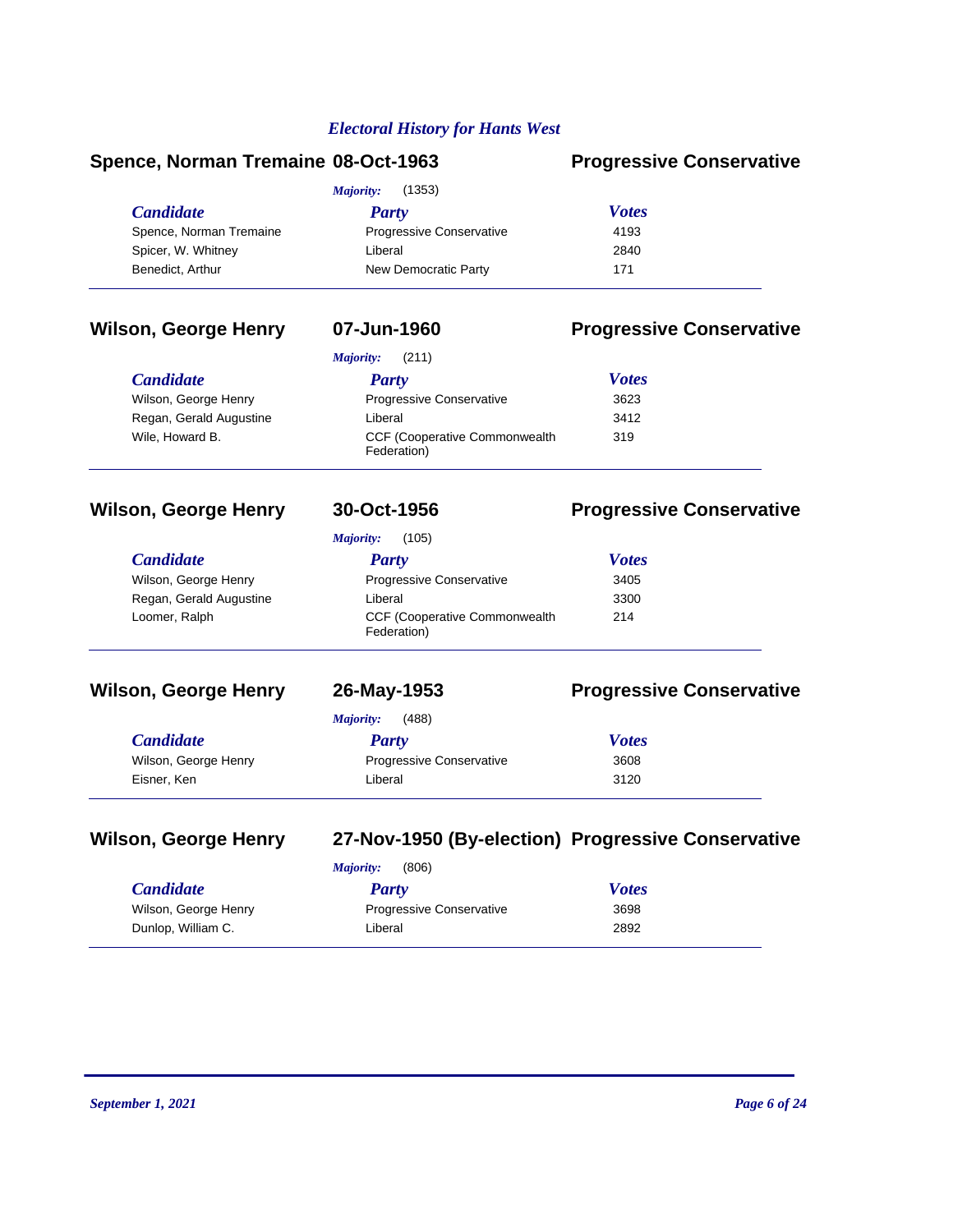### **Spence, Norman Tremaine 08-Oct-1963 Progressive Conservative**

| (1353)<br>Majority:     |                                 |              |  |
|-------------------------|---------------------------------|--------------|--|
| <i>Candidate</i>        | Party                           | <b>Votes</b> |  |
| Spence, Norman Tremaine | <b>Progressive Conservative</b> | 4193         |  |
| Spicer, W. Whitney      | Liberal                         | 2840         |  |
| Benedict, Arthur        | New Democratic Party            | 171          |  |

### **Wilson, George Henry 07-Jun-1960 Progressive Conservative**

Wilson, George Henry Regan, Gerald Augustine

 $C$ *andidate* 

Wile, Howard B.

*Majority:* (211)

| <b>Party</b>                                        | <b>Votes</b> |
|-----------------------------------------------------|--------------|
| Progressive Conservative                            | 3623         |
| Liberal                                             | 3412         |
| <b>CCF (Cooperative Commonwealth</b><br>Federation) | 319          |

# **Wilson, George Henry 30-Oct-1956 Progressive Conservative**

Wilson, George Henry Regan, Gerald Augustine

 $C$ *andidate* 

Loomer, Ralph

### *Majority:* (105)

| <b>Party</b>                                        | <b>Votes</b> |
|-----------------------------------------------------|--------------|
| Progressive Conservative                            | 3405         |
| Liberal                                             | 3300         |
| <b>CCF (Cooperative Commonwealth</b><br>Federation) | 214          |

### **Wilson, George Henry 26-May-1953 Progressive Conservative**

|                      | (488)<br><i>Majority:</i>       |              |  |
|----------------------|---------------------------------|--------------|--|
| <b>Candidate</b>     | Party                           | <b>Votes</b> |  |
| Wilson, George Henry | <b>Progressive Conservative</b> | 3608         |  |
| Eisner, Ken          | Liberal                         | 3120         |  |

# **Wilson, George Henry 27-Nov-1950 (By-election) Progressive Conservative**

| <b>Majority:</b> | (806) |
|------------------|-------|
|------------------|-------|

| <b>Candidate</b>     | Party                           | <b>Votes</b> |
|----------------------|---------------------------------|--------------|
| Wilson, George Henry | <b>Progressive Conservative</b> | 3698         |
| Dunlop, William C.   | Liberal                         | 2892         |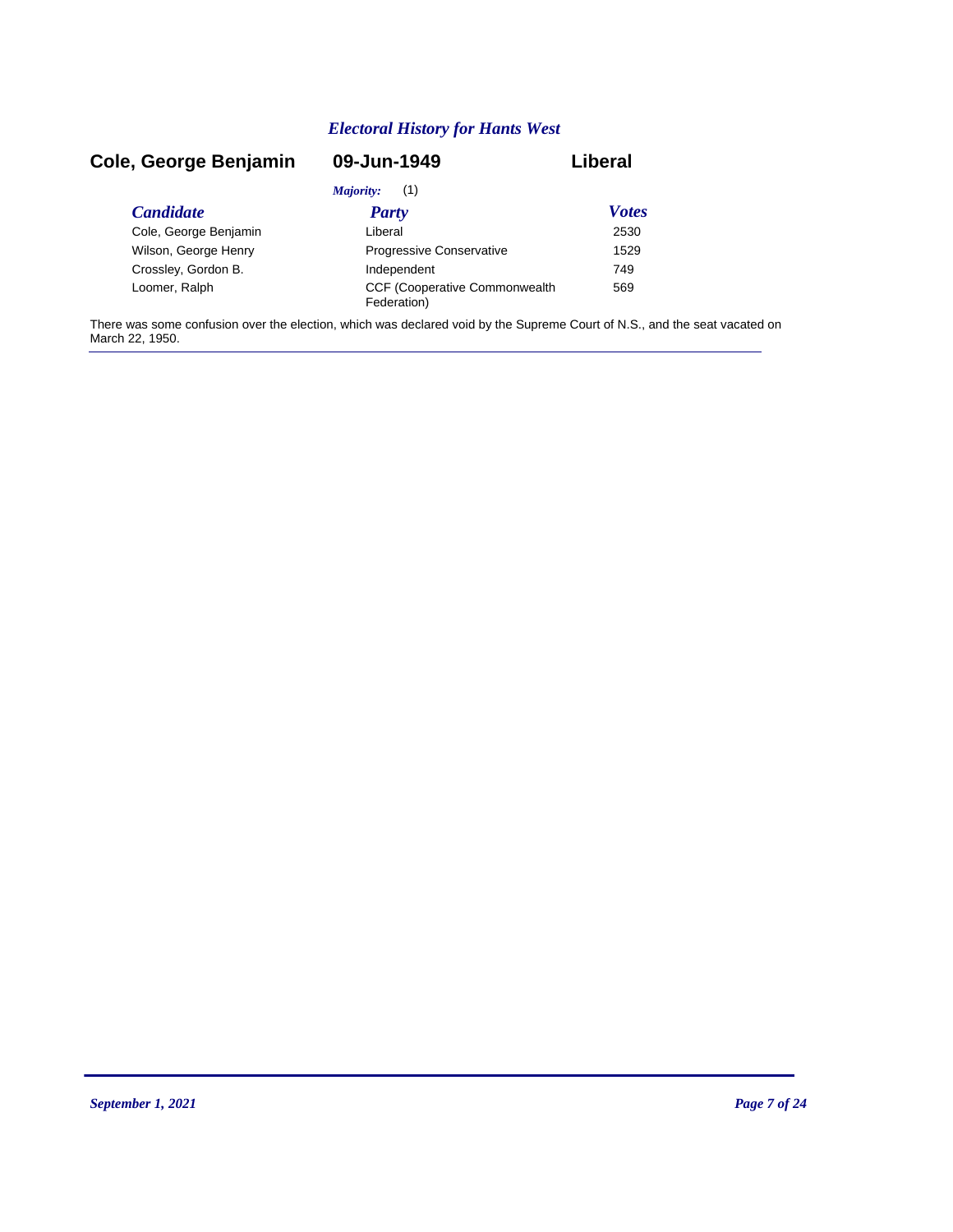### *Candidate Party Votes* **Cole, George Benjamin 09-Jun-1949 Liberal** *Majority:* (1) Cole, George Benjamin Liberal 2530 Wilson, George Henry **Progressive Conservative** 1529 Crossley, Gordon B. The Crossley of the Undependent The Tasks and Tag and Tag and Tag and Tag and Tag and Tag and Tag and Tag and Tag and Tag and Tag and Tag and Tag and Tag and Tag and Tag and Tag and Tag and Tag and Tag CCF (Cooperative Commonwealth Loomer, Ralph 569 Federation)

There was some confusion over the election, which was declared void by the Supreme Court of N.S., and the seat vacated on March 22, 1950.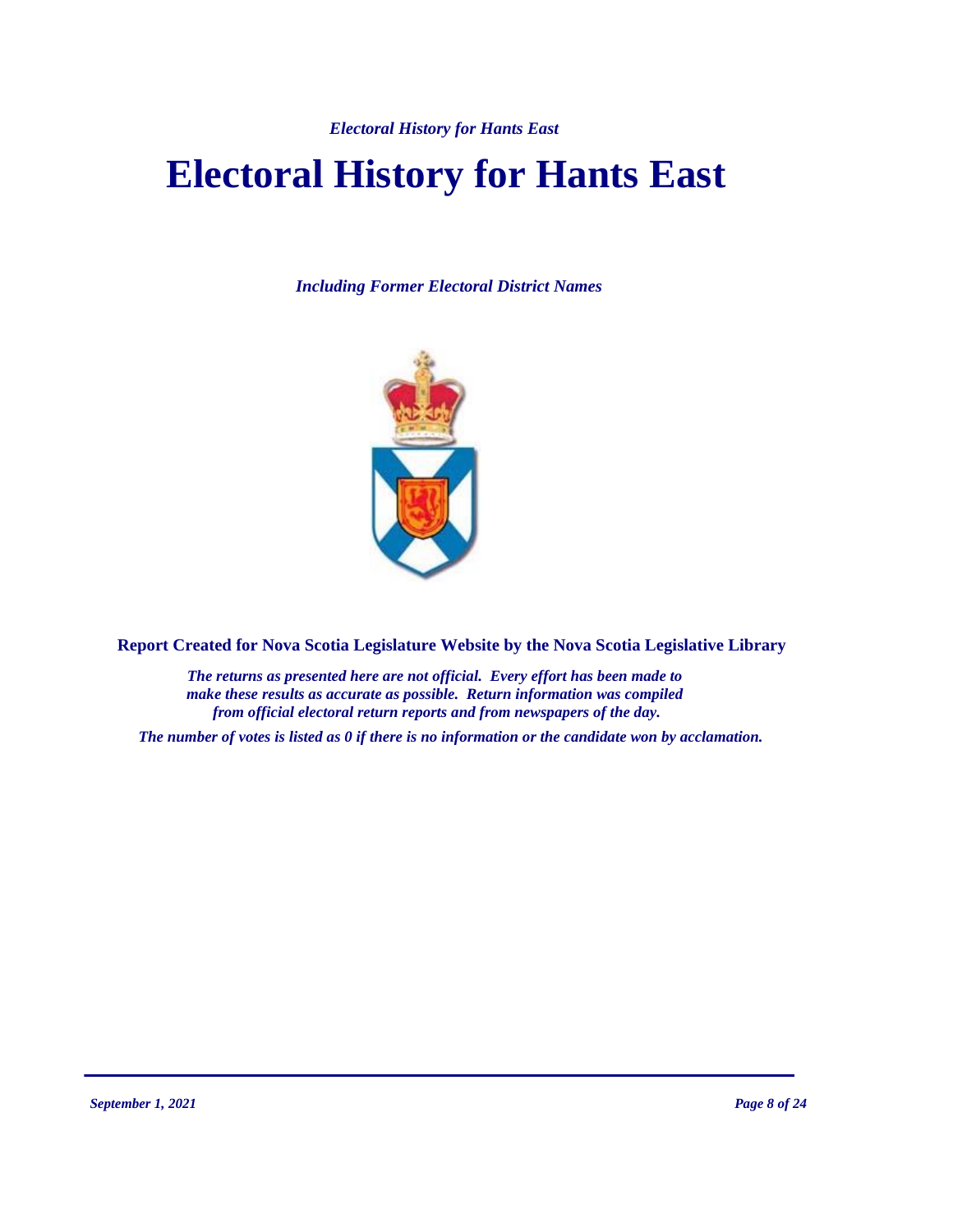# **Electoral History for Hants East**

*Including Former Electoral District Names*



**Report Created for Nova Scotia Legislature Website by the Nova Scotia Legislative Library**

*The returns as presented here are not official. Every effort has been made to make these results as accurate as possible. Return information was compiled from official electoral return reports and from newspapers of the day.*

*The number of votes is listed as 0 if there is no information or the candidate won by acclamation.*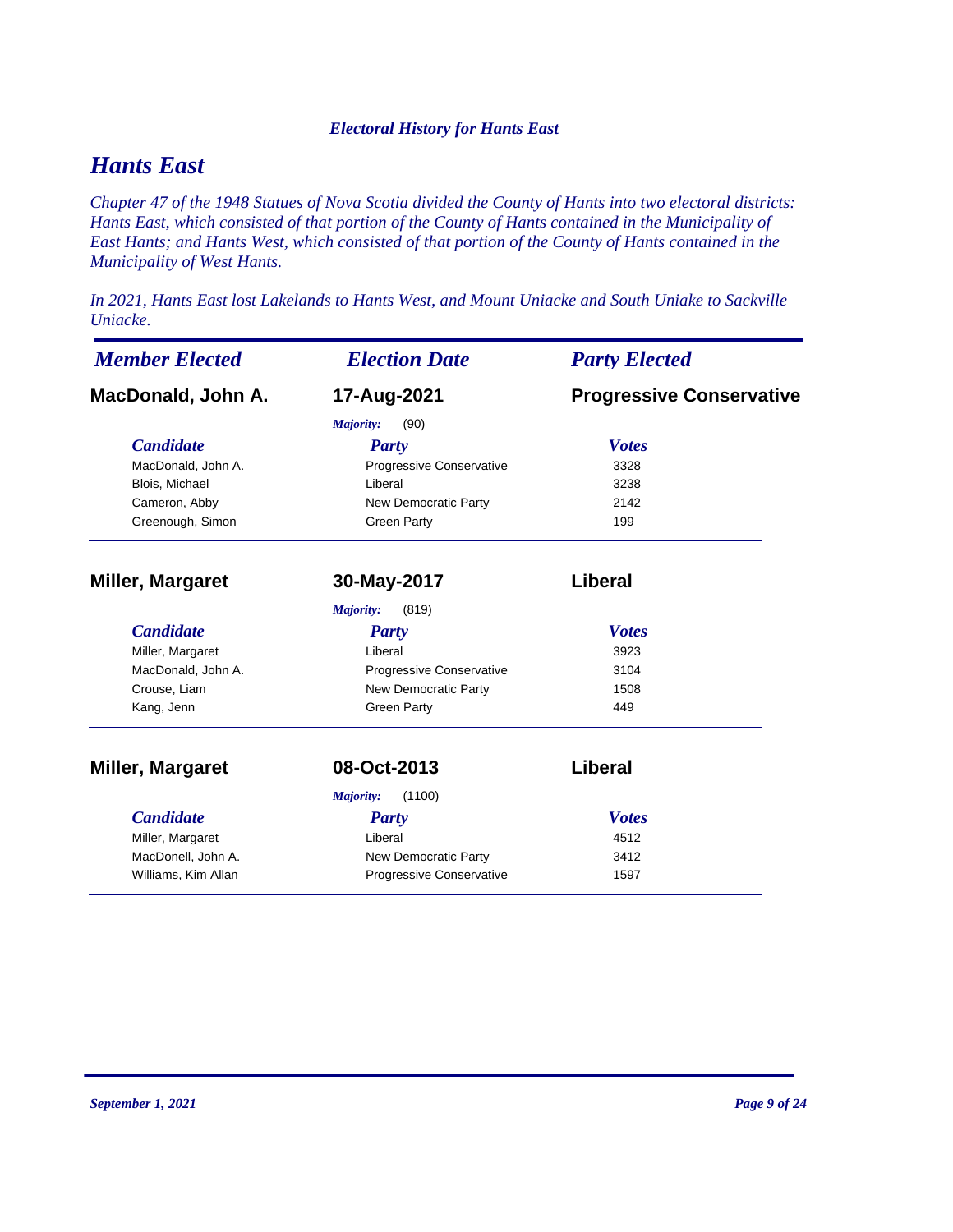# *Hants East*

*Chapter 47 of the 1948 Statues of Nova Scotia divided the County of Hants into two electoral districts: Hants East, which consisted of that portion of the County of Hants contained in the Municipality of East Hants; and Hants West, which consisted of that portion of the County of Hants contained in the Municipality of West Hants.* 

*In 2021, Hants East lost Lakelands to Hants West, and Mount Uniacke and South Uniake to Sackville Uniacke.* 

| <b>Member Elected</b> | <b>Election Date</b>        | <b>Party Elected</b>            |  |
|-----------------------|-----------------------------|---------------------------------|--|
| MacDonald, John A.    | 17-Aug-2021                 | <b>Progressive Conservative</b> |  |
|                       | (90)<br><b>Majority:</b>    |                                 |  |
| <b>Candidate</b>      | Party                       | <b>Votes</b>                    |  |
| MacDonald, John A.    | Progressive Conservative    | 3328                            |  |
| Blois, Michael        | Liberal                     | 3238                            |  |
| Cameron, Abby         | <b>New Democratic Party</b> | 2142                            |  |
| Greenough, Simon      | <b>Green Party</b>          | 199                             |  |
| Miller, Margaret      | 30-May-2017                 | <b>Liberal</b>                  |  |
|                       | (819)<br>Majority:          |                                 |  |
| <b>Candidate</b>      | <b>Party</b>                | <b>Votes</b>                    |  |
| Miller, Margaret      | Liberal                     | 3923                            |  |
| MacDonald, John A.    | Progressive Conservative    | 3104                            |  |
| Crouse, Liam          | New Democratic Party        | 1508                            |  |
| Kang, Jenn            | <b>Green Party</b>          | 449                             |  |
| Miller, Margaret      | 08-Oct-2013                 | Liberal                         |  |
|                       | (1100)<br>Majority:         |                                 |  |
| <b>Candidate</b>      | Party                       | <b>Votes</b>                    |  |
| Miller, Margaret      | Liberal                     | 4512                            |  |
| MacDonell, John A.    | New Democratic Party        | 3412                            |  |
| Williams, Kim Allan   | Progressive Conservative    | 1597                            |  |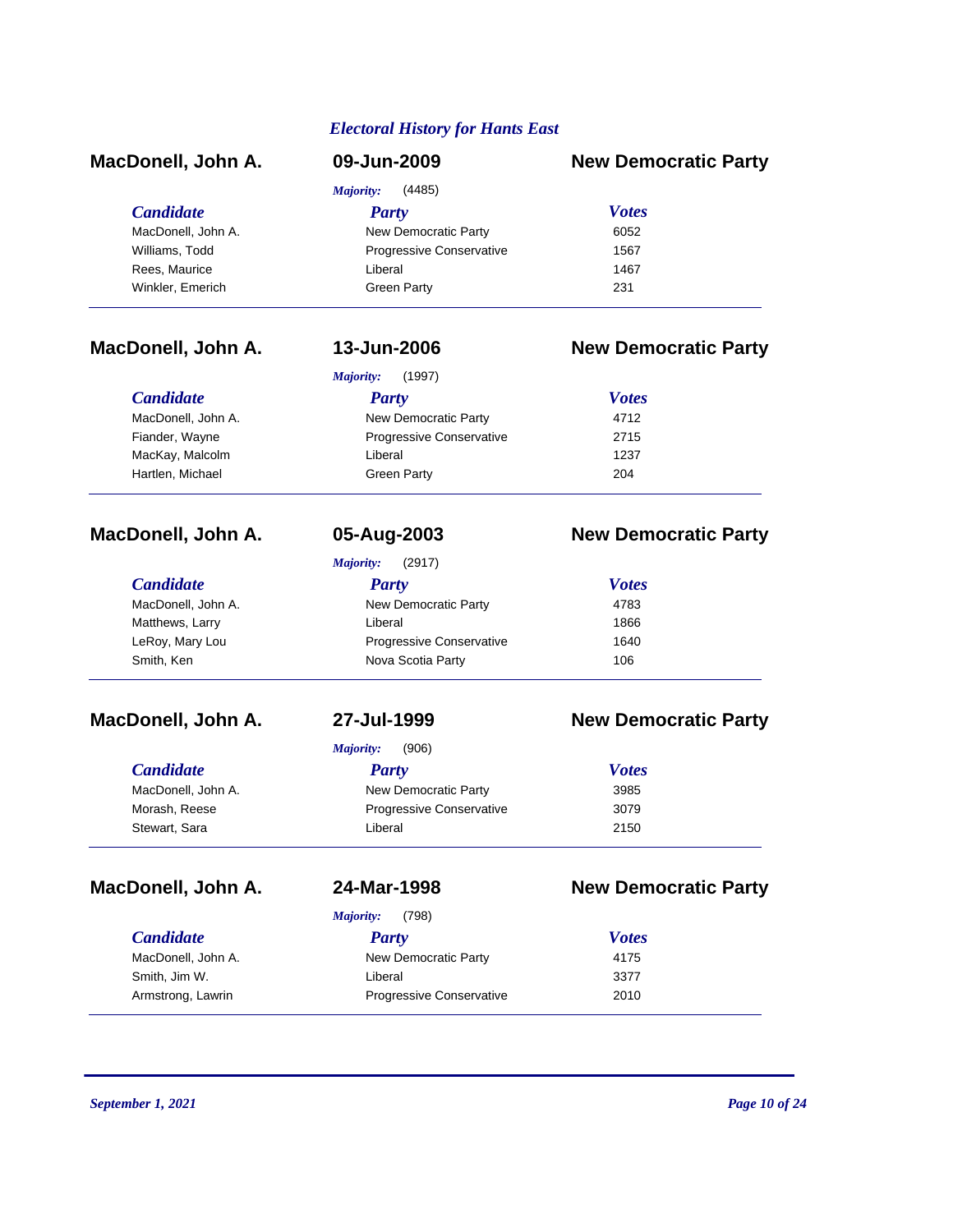| <i><b>Electoral History for Hants East</b></i> |                            |                             |  |  |
|------------------------------------------------|----------------------------|-----------------------------|--|--|
| MacDonell, John A.                             | 09-Jun-2009                | <b>New Democratic Party</b> |  |  |
|                                                | <b>Majority:</b><br>(4485) |                             |  |  |
| <b>Candidate</b>                               | <b>Party</b>               | <b>Votes</b>                |  |  |
| MacDonell, John A.                             | New Democratic Party       | 6052                        |  |  |
| Williams, Todd                                 | Progressive Conservative   | 1567                        |  |  |
| Rees, Maurice                                  | Liberal                    | 1467                        |  |  |
| Winkler, Emerich                               | <b>Green Party</b>         | 231                         |  |  |
| MacDonell, John A.                             | 13-Jun-2006                | <b>New Democratic Party</b> |  |  |
|                                                | <b>Majority:</b><br>(1997) |                             |  |  |
| <b>Candidate</b>                               | <b>Party</b>               | <b>Votes</b>                |  |  |
| MacDonell, John A.                             | New Democratic Party       | 4712                        |  |  |
| Fiander, Wayne                                 | Progressive Conservative   | 2715                        |  |  |
| MacKay, Malcolm                                | Liberal                    | 1237                        |  |  |
| Hartlen, Michael                               | <b>Green Party</b>         | 204                         |  |  |
| MacDonell, John A.                             | 05-Aug-2003                | <b>New Democratic Party</b> |  |  |
|                                                | <b>Majority:</b><br>(2917) |                             |  |  |
| <b>Candidate</b>                               | <b>Party</b>               | <b>Votes</b>                |  |  |
| MacDonell, John A.                             | New Democratic Party       | 4783                        |  |  |
| Matthews, Larry                                | Liberal                    | 1866                        |  |  |
| LeRoy, Mary Lou                                | Progressive Conservative   | 1640                        |  |  |
| Smith, Ken                                     | Nova Scotia Party          | 106                         |  |  |
| MacDonell, John A.                             | 27-Jul-1999                | <b>New Democratic Party</b> |  |  |
|                                                | (906)<br><b>Majority:</b>  |                             |  |  |
| <b>Candidate</b>                               | <b>Party</b>               | <b>Votes</b>                |  |  |
| MacDonell, John A.                             | New Democratic Party       | 3985                        |  |  |
| Morash, Reese                                  | Progressive Conservative   | 3079                        |  |  |
| Stewart, Sara                                  | Liberal                    | 2150                        |  |  |
| MacDonell, John A.                             | 24-Mar-1998                | <b>New Democratic Party</b> |  |  |
|                                                | <b>Majority:</b><br>(798)  |                             |  |  |
| <b>Candidate</b>                               | <b>Party</b>               | <b>Votes</b>                |  |  |
| MacDonell, John A.                             | New Democratic Party       | 4175                        |  |  |

Smith, Jim W. 2377 Armstrong, Lawrin **Progressive Conservative** 2010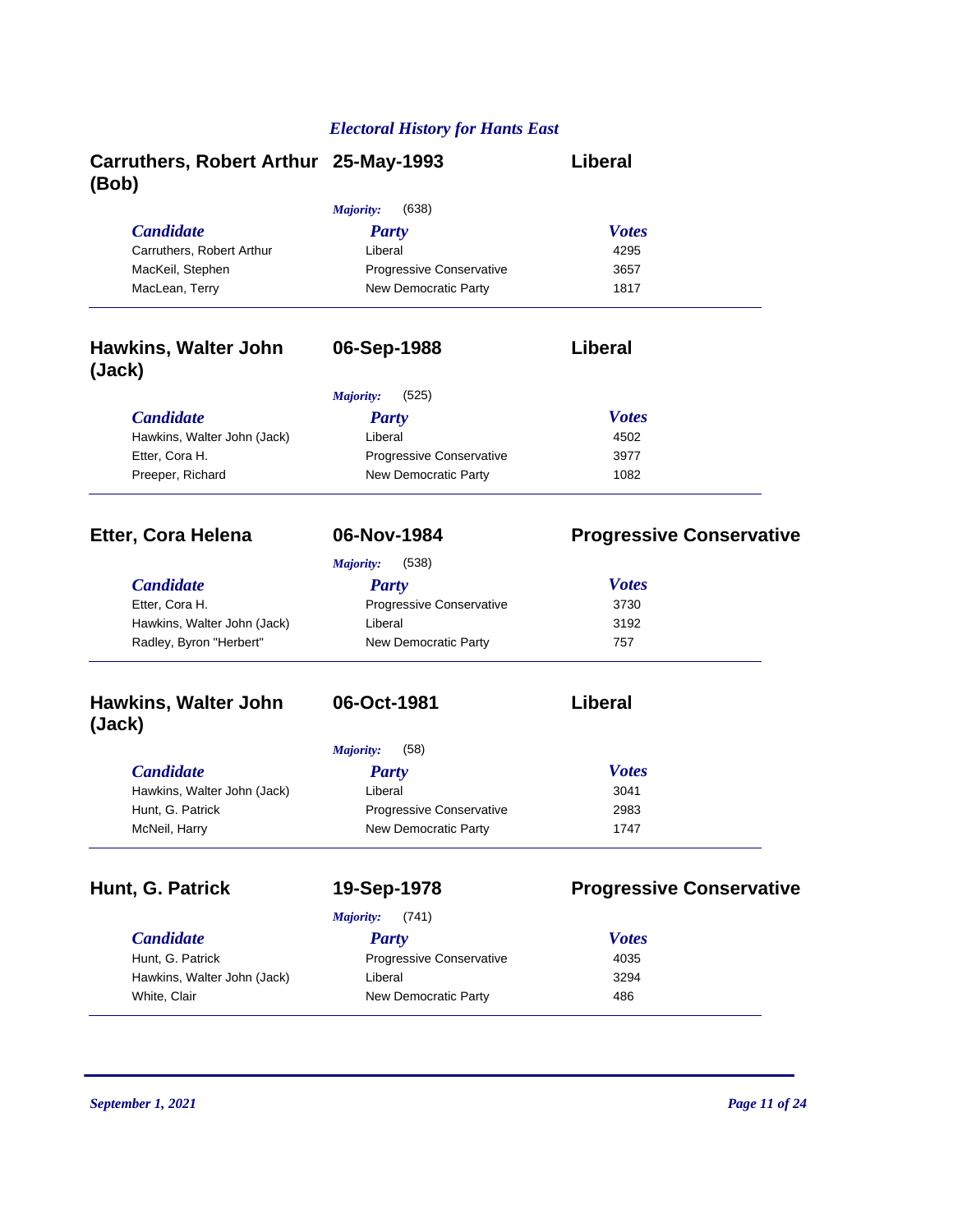| Carruthers, Robert Arthur 25-May-1993<br>(Bob) |                                                  | <b>Liberal</b>                  |
|------------------------------------------------|--------------------------------------------------|---------------------------------|
|                                                | <b>Majority:</b><br>(638)                        |                                 |
| <b>Candidate</b>                               | <b>Party</b>                                     | <b>Votes</b>                    |
| Carruthers, Robert Arthur                      | Liberal                                          | 4295                            |
| MacKeil, Stephen                               | Progressive Conservative                         | 3657                            |
| MacLean, Terry                                 | New Democratic Party                             | 1817                            |
| <b>Hawkins, Walter John</b><br>(Jack)          | 06-Sep-1988                                      | Liberal                         |
|                                                |                                                  |                                 |
|                                                | (525)<br><b>Majority:</b>                        |                                 |
| <b>Candidate</b>                               | <b>Party</b>                                     | <b>Votes</b>                    |
| Hawkins, Walter John (Jack)                    | Liberal                                          | 4502                            |
| Etter, Cora H.<br>Preeper, Richard             | Progressive Conservative<br>New Democratic Party | 3977<br>1082                    |
| <b>Etter, Cora Helena</b>                      | 06-Nov-1984                                      | <b>Progressive Conservative</b> |
|                                                | Majority:<br>(538)                               |                                 |
| <b>Candidate</b>                               | <b>Party</b>                                     | <b>Votes</b>                    |
| Etter, Cora H.                                 | Progressive Conservative                         | 3730                            |
| Hawkins, Walter John (Jack)                    | Liberal                                          | 3192                            |
| Radley, Byron "Herbert"                        | New Democratic Party                             | 757                             |
| <b>Hawkins, Walter John</b><br>(Jack)          | 06-Oct-1981                                      | Liberal                         |
|                                                | <b>Majority:</b><br>(58)                         |                                 |
| <b>Candidate</b>                               | <b>Party</b>                                     | <b>Votes</b>                    |
| Hawkins, Walter John (Jack)                    | Liberal                                          | 3041                            |
| Hunt, G. Patrick                               | Progressive Conservative                         | 2983                            |
| McNeil, Harry                                  | New Democratic Party                             | 1747                            |
| Hunt, G. Patrick                               | 19-Sep-1978                                      | <b>Progressive Conservative</b> |
|                                                | Majority:<br>(741)                               |                                 |
| <b>Candidate</b>                               | <b>Party</b>                                     | <b>Votes</b>                    |
| Hunt, G. Patrick                               |                                                  |                                 |
|                                                | Progressive Conservative                         | 4035                            |
| Hawkins, Walter John (Jack)                    | Liberal                                          | 3294                            |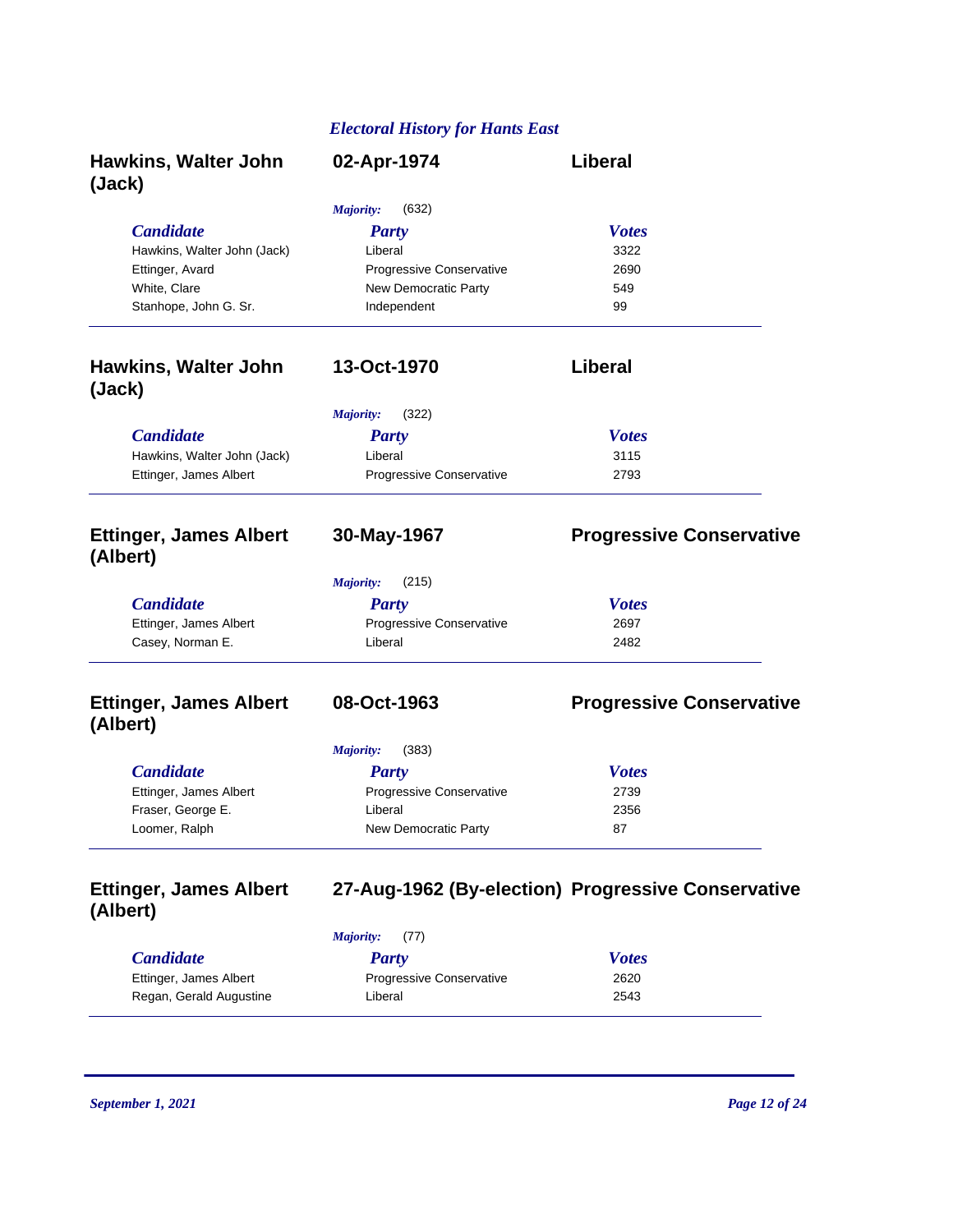| <b>Hawkins, Walter John</b><br>(Jack)     | 02-Apr-1974                     | <b>Liberal</b>                                     |
|-------------------------------------------|---------------------------------|----------------------------------------------------|
|                                           | <b>Majority:</b><br>(632)       |                                                    |
| <b>Candidate</b>                          | <b>Party</b>                    | <b>Votes</b>                                       |
| Hawkins, Walter John (Jack)               | Liberal                         | 3322                                               |
| Ettinger, Avard                           | <b>Progressive Conservative</b> | 2690                                               |
| White, Clare                              | New Democratic Party            | 549                                                |
| Stanhope, John G. Sr.                     | Independent                     | 99                                                 |
| <b>Hawkins, Walter John</b><br>(Jack)     | 13-Oct-1970                     | Liberal                                            |
|                                           | <b>Majority:</b><br>(322)       |                                                    |
| <b>Candidate</b>                          | <b>Party</b>                    | <b>Votes</b>                                       |
| Hawkins, Walter John (Jack)               | Liberal                         | 3115                                               |
| Ettinger, James Albert                    | Progressive Conservative        | 2793                                               |
| <b>Ettinger, James Albert</b><br>(Albert) | 30-May-1967                     | <b>Progressive Conservative</b>                    |
|                                           | <b>Majority:</b><br>(215)       |                                                    |
| <b>Candidate</b>                          | <b>Party</b>                    | <b>Votes</b>                                       |
| Ettinger, James Albert                    | Progressive Conservative        | 2697                                               |
| Casey, Norman E.                          | Liberal                         | 2482                                               |
| <b>Ettinger, James Albert</b><br>(Albert) | 08-Oct-1963                     | <b>Progressive Conservative</b>                    |
|                                           | <b>Majority:</b><br>(383)       |                                                    |
| <b>Candidate</b>                          | <b>Party</b>                    | <b>Votes</b>                                       |
| Ettinger, James Albert                    | Progressive Conservative        | 2739                                               |
| Fraser, George E.                         | Liberal                         | 2356                                               |
| Loomer, Ralph                             | New Democratic Party            | 87                                                 |
| <b>Ettinger, James Albert</b><br>(Albert) |                                 | 27-Aug-1962 (By-election) Progressive Conservative |
|                                           | <b>Majority:</b><br>(77)        |                                                    |
| <b>Candidate</b>                          | <b>Party</b>                    | <b>Votes</b>                                       |
| Ettinger, James Albert                    | Progressive Conservative        | 2620                                               |
| Regan, Gerald Augustine                   | Liberal                         | 2543                                               |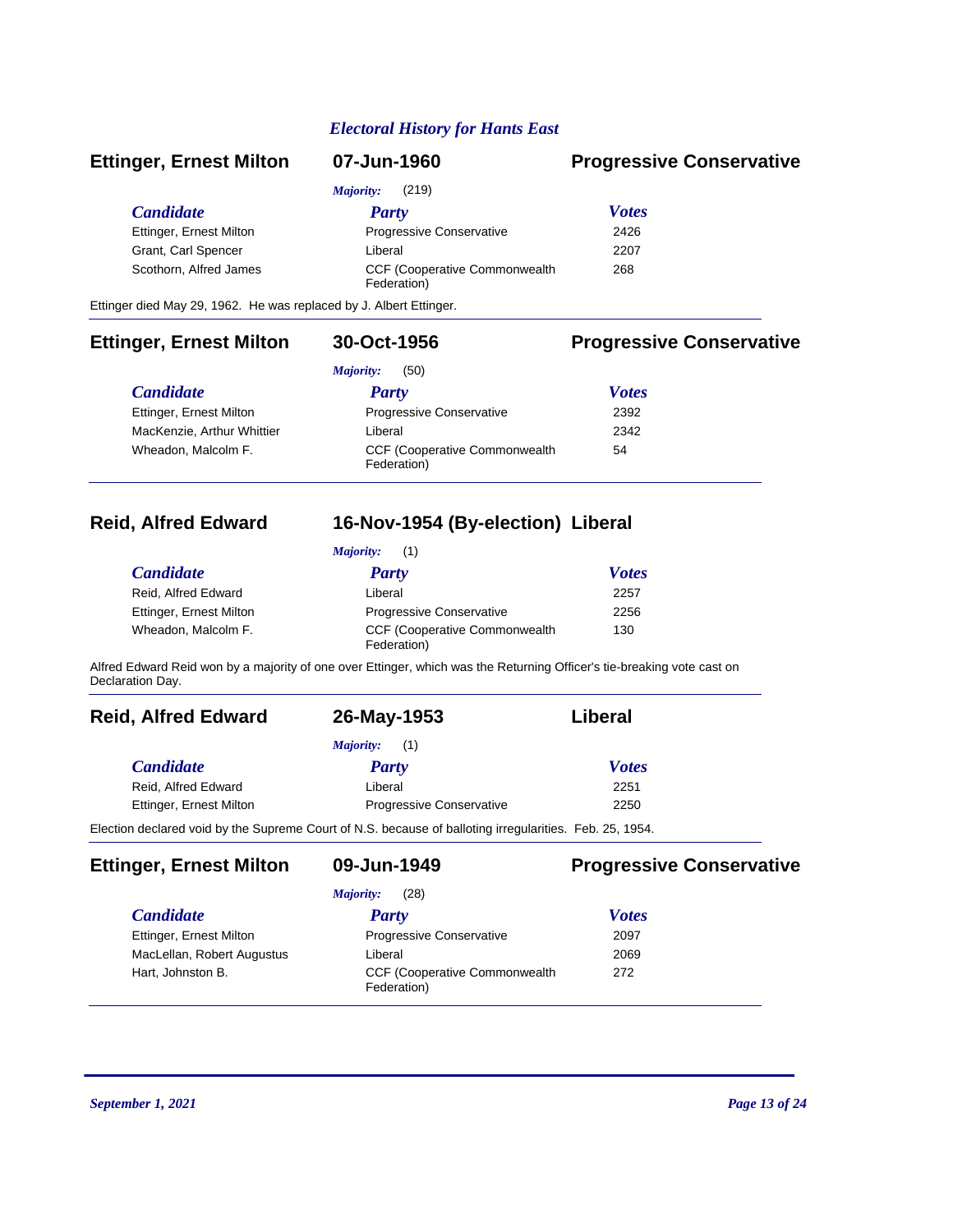| <b>Ettinger, Ernest Milton</b> | 07-Jun-1960                                          | <b>Progressive Conservative</b> |
|--------------------------------|------------------------------------------------------|---------------------------------|
|                                | (219)<br>Majority:                                   |                                 |
| <b>Candidate</b>               | Party                                                | <b>Votes</b>                    |
| Ettinger, Ernest Milton        | <b>Progressive Conservative</b>                      | 2426                            |
| Grant, Carl Spencer            | Liberal                                              | 2207                            |
| Scothorn, Alfred James         | <b>CCF (Cooperative Commonwealth)</b><br>Federation) | 268                             |
|                                |                                                      |                                 |

Ettinger died May 29, 1962. He was replaced by J. Albert Ettinger.

### **Ettinger, Ernest Milton 30-Oct-1956 Progressive Conservative**

|                            | (50)<br>Majority:                                    |              |  |
|----------------------------|------------------------------------------------------|--------------|--|
| <i>Candidate</i>           | <b>Party</b>                                         | <b>Votes</b> |  |
| Ettinger, Ernest Milton    | Progressive Conservative                             | 2392         |  |
| MacKenzie, Arthur Whittier | Liberal                                              | 2342         |  |
| Wheadon, Malcolm F.        | <b>CCF (Cooperative Commonwealth)</b><br>Federation) | 54           |  |

## **Reid, Alfred Edward 16-Nov-1954 (By-election) Liberal**

| <i>Majority:</i> (1)    |                                                      |              |  |
|-------------------------|------------------------------------------------------|--------------|--|
| <i>Candidate</i>        | <b>Party</b>                                         | <b>Votes</b> |  |
| Reid, Alfred Edward     | Liberal                                              | 2257         |  |
| Ettinger, Ernest Milton | <b>Progressive Conservative</b>                      | 2256         |  |
| Wheadon, Malcolm F.     | <b>CCF (Cooperative Commonwealth)</b><br>Federation) | 130          |  |

Alfred Edward Reid won by a majority of one over Ettinger, which was the Returning Officer's tie-breaking vote cast on Declaration Day.

| <b>Reid, Alfred Edward</b>                                                                              | 26-May-1953                     | Liberal      |
|---------------------------------------------------------------------------------------------------------|---------------------------------|--------------|
|                                                                                                         | Majority:<br>(1)                |              |
| <i>Candidate</i>                                                                                        | Party                           | <b>Votes</b> |
| Reid, Alfred Edward                                                                                     | Liberal                         | 2251         |
| Ettinger, Ernest Milton                                                                                 | <b>Progressive Conservative</b> | 2250         |
| Election declared void by the Supreme Court of N.S. because of balloting irregularities. Feb. 25, 1954. |                                 |              |

**Ettinger, Ernest Milton 09-Jun-1949 Progressive Conservative**

|                            | (28)<br>Majority:                                    |              |  |
|----------------------------|------------------------------------------------------|--------------|--|
| <i>Candidate</i>           | <b>Party</b>                                         | <b>Votes</b> |  |
| Ettinger, Ernest Milton    | Progressive Conservative                             | 2097         |  |
| MacLellan, Robert Augustus | Liberal                                              | 2069         |  |
| Hart, Johnston B.          | <b>CCF (Cooperative Commonwealth)</b><br>Federation) | 272          |  |
|                            |                                                      |              |  |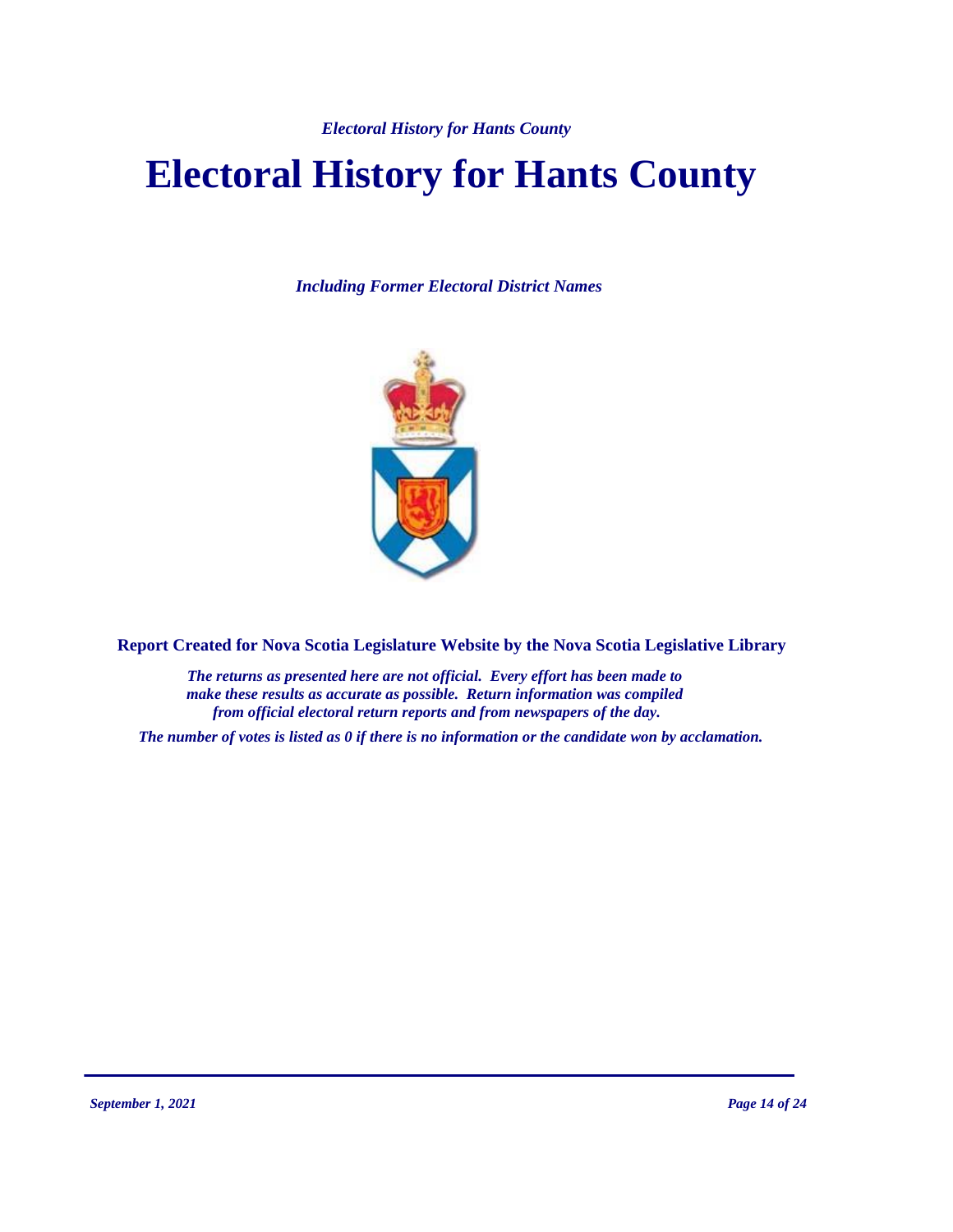# **Electoral History for Hants County**

*Including Former Electoral District Names*



**Report Created for Nova Scotia Legislature Website by the Nova Scotia Legislative Library**

*The returns as presented here are not official. Every effort has been made to make these results as accurate as possible. Return information was compiled from official electoral return reports and from newspapers of the day.*

*The number of votes is listed as 0 if there is no information or the candidate won by acclamation.*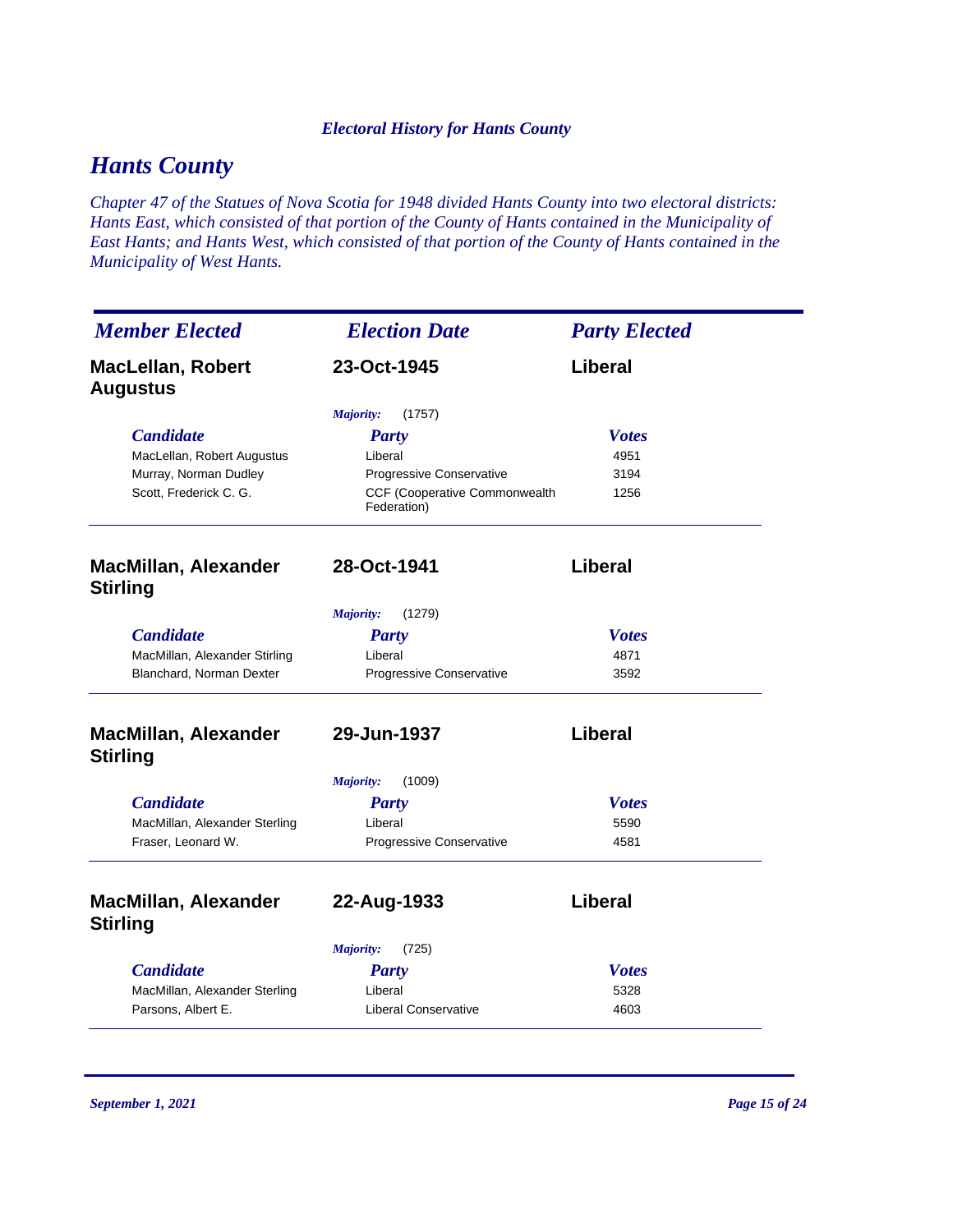# *Hants County*

*Chapter 47 of the Statues of Nova Scotia for 1948 divided Hants County into two electoral districts: Hants East, which consisted of that portion of the County of Hants contained in the Municipality of East Hants; and Hants West, which consisted of that portion of the County of Hants contained in the Municipality of West Hants.*

| <b>Member Elected</b>                          | <b>Election Date</b>                         | <b>Party Elected</b> |
|------------------------------------------------|----------------------------------------------|----------------------|
| <b>MacLellan, Robert</b><br><b>Augustus</b>    | 23-Oct-1945                                  | Liberal              |
|                                                | (1757)<br><i>Majority:</i>                   |                      |
| <b>Candidate</b>                               | <b>Party</b>                                 | <b>Votes</b>         |
| MacLellan, Robert Augustus                     | Liberal                                      | 4951                 |
| Murray, Norman Dudley                          | <b>Progressive Conservative</b>              | 3194                 |
| Scott, Frederick C. G.                         | CCF (Cooperative Commonwealth<br>Federation) | 1256                 |
| <b>MacMillan, Alexander</b><br><b>Stirling</b> | 28-Oct-1941                                  | Liberal              |
|                                                | (1279)<br>Majority:                          |                      |
| <b>Candidate</b>                               | <b>Party</b>                                 | <b>Votes</b>         |
| MacMillan, Alexander Stirling                  | Liberal                                      | 4871                 |
| Blanchard, Norman Dexter                       | <b>Progressive Conservative</b>              | 3592                 |
| <b>MacMillan, Alexander</b><br><b>Stirling</b> | 29-Jun-1937                                  | Liberal              |
|                                                | <b>Majority:</b><br>(1009)                   |                      |
| <b>Candidate</b>                               | <b>Party</b>                                 | <b>Votes</b>         |
| MacMillan, Alexander Sterling                  | Liberal                                      | 5590                 |
| Fraser, Leonard W.                             | <b>Progressive Conservative</b>              | 4581                 |
| <b>MacMillan, Alexander</b><br><b>Stirling</b> | 22-Aug-1933                                  | Liberal              |
|                                                | (725)<br>Majority:                           |                      |
| <b>Candidate</b>                               | <b>Party</b>                                 | <b>Votes</b>         |
| MacMillan, Alexander Sterling                  | Liberal                                      | 5328                 |
| Parsons, Albert E.                             | <b>Liberal Conservative</b>                  | 4603                 |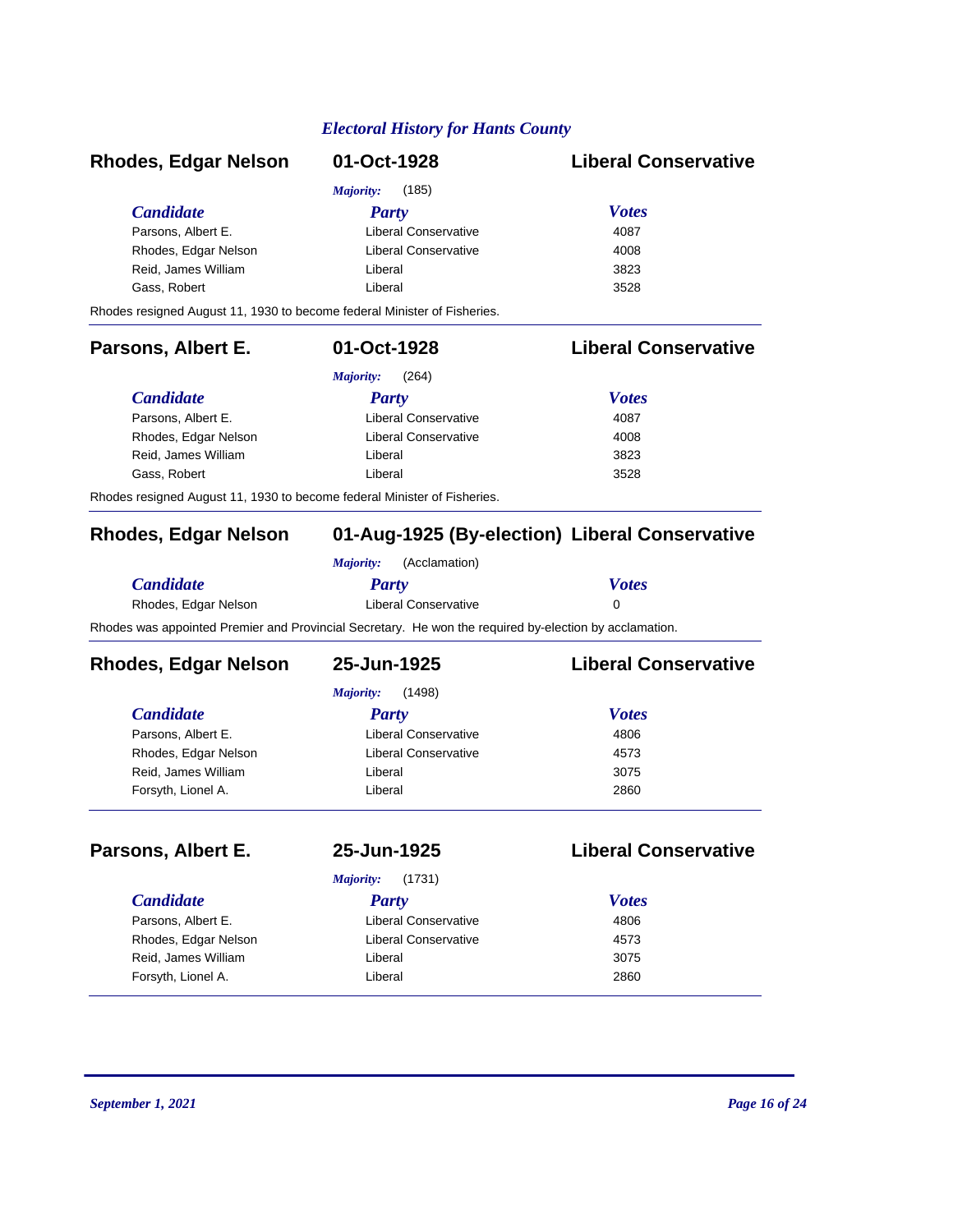# *Candidate Party Votes* **Rhodes, Edgar Nelson 01-Oct-1928 Liberal Conservative** *Majority:* (185) Parsons, Albert E. Conservative 4087 Rhodes, Edgar Nelson **Liberal Conservative** 4008 Reid, James William Liberal 3823 Gass, Robert **Cass, 2008** Liberal 2528 Rhodes resigned August 11, 1930 to become federal Minister of Fisheries. *Candidate Party Votes* **Parsons, Albert E. 01-Oct-1928 Liberal Conservative** *Majority:* (264) Parsons, Albert E. The Liberal Conservative **4087** Rhodes, Edgar Nelson **Liberal Conservative** 4008 Reid, James William Liberal 3823 Gass, Robert **Liberal** Liberal 3528 Rhodes resigned August 11, 1930 to become federal Minister of Fisheries.

# **Rhodes, Edgar Nelson 01-Aug-1925 (By-election) Liberal Conservative**

|                                                                                                        | <i>Maiority:</i> | (Acclamation)        |              |
|--------------------------------------------------------------------------------------------------------|------------------|----------------------|--------------|
| <i>Candidate</i>                                                                                       | Party            |                      | <b>Votes</b> |
| Rhodes, Edgar Nelson                                                                                   |                  | Liberal Conservative |              |
| Rhodes was appointed Premier and Provincial Secretary. He won the required by-election by acclamation. |                  |                      |              |

| Rhodes, Edgar Nelson | 25-Jun-1925          | <b>Liberal Conservative</b> |
|----------------------|----------------------|-----------------------------|
|                      | (1498)<br>Majority:  |                             |
| <i>Candidate</i>     | Party                | <b>Votes</b>                |
| Parsons, Albert E.   | Liberal Conservative | 4806                        |
| Rhodes, Edgar Nelson | Liberal Conservative | 4573                        |
| Reid, James William  | Liberal              | 3075                        |
| Forsyth, Lionel A.   | Liberal              | 2860                        |
|                      |                      |                             |

### **Parsons, Albert E. 25-Jun-1925 Liberal Conservative**

*Majority:* (1731)

### *Candidate Party Votes* Parsons, Albert E. Conservative Liberal Conservative 4806 Rhodes, Edgar Nelson **Liberal Conservative** 4573 Reid, James William Liberal 3075 Forsyth, Lionel A. Liberal 2860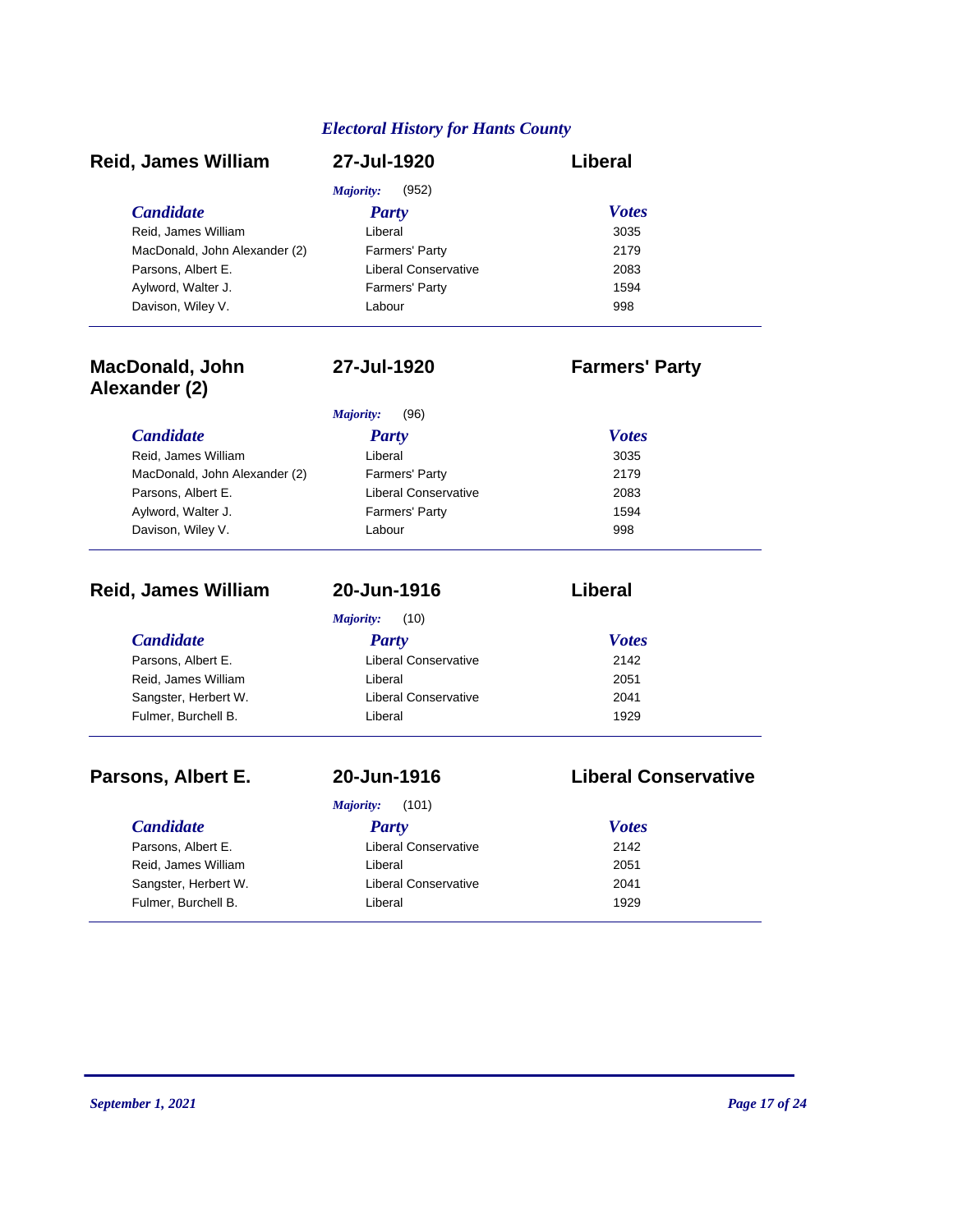| <b>Reid, James William</b>              | 27-Jul-1920                 | Liberal                     |
|-----------------------------------------|-----------------------------|-----------------------------|
|                                         | <b>Majority:</b><br>(952)   |                             |
| <b>Candidate</b>                        | <b>Party</b>                | <b>Votes</b>                |
| Reid, James William                     | Liberal                     | 3035                        |
| MacDonald, John Alexander (2)           | Farmers' Party              | 2179                        |
| Parsons, Albert E.                      | <b>Liberal Conservative</b> | 2083                        |
| Aylword, Walter J.                      | Farmers' Party              | 1594                        |
| Davison, Wiley V.                       | Labour                      | 998                         |
| <b>MacDonald, John</b><br>Alexander (2) | 27-Jul-1920                 | <b>Farmers' Party</b>       |
|                                         | <b>Majority:</b><br>(96)    |                             |
| <b>Candidate</b>                        | <b>Party</b>                | <b>Votes</b>                |
| Reid, James William                     | Liberal                     | 3035                        |
| MacDonald, John Alexander (2)           | Farmers' Party              | 2179                        |
| Parsons, Albert E.                      | <b>Liberal Conservative</b> | 2083                        |
| Aylword, Walter J.                      | Farmers' Party              | 1594                        |
| Davison, Wiley V.                       | Labour                      | 998                         |
| <b>Reid, James William</b>              | 20-Jun-1916                 | Liberal                     |
|                                         | (10)<br>Majority:           |                             |
| <b>Candidate</b>                        | <b>Party</b>                | <b>Votes</b>                |
| Parsons, Albert E.                      | <b>Liberal Conservative</b> | 2142                        |
| Reid, James William                     | Liberal                     | 2051                        |
| Sangster, Herbert W.                    | <b>Liberal Conservative</b> | 2041                        |
| Fulmer, Burchell B.                     | Liberal                     | 1929                        |
| Parsons, Albert E.                      | 20-Jun-1916                 | <b>Liberal Conservative</b> |
|                                         | Majority:<br>(101)          |                             |
| <b>Candidate</b>                        | Party                       | <b>Votes</b>                |
| Parsons, Albert E.                      | Liberal Conservative        | 2142                        |
| Reid, James William                     | Liberal                     | 2051                        |
| Sangster, Herbert W.                    | <b>Liberal Conservative</b> | 2041                        |
| Fulmer, Burchell B.                     | Liberal                     | 1929                        |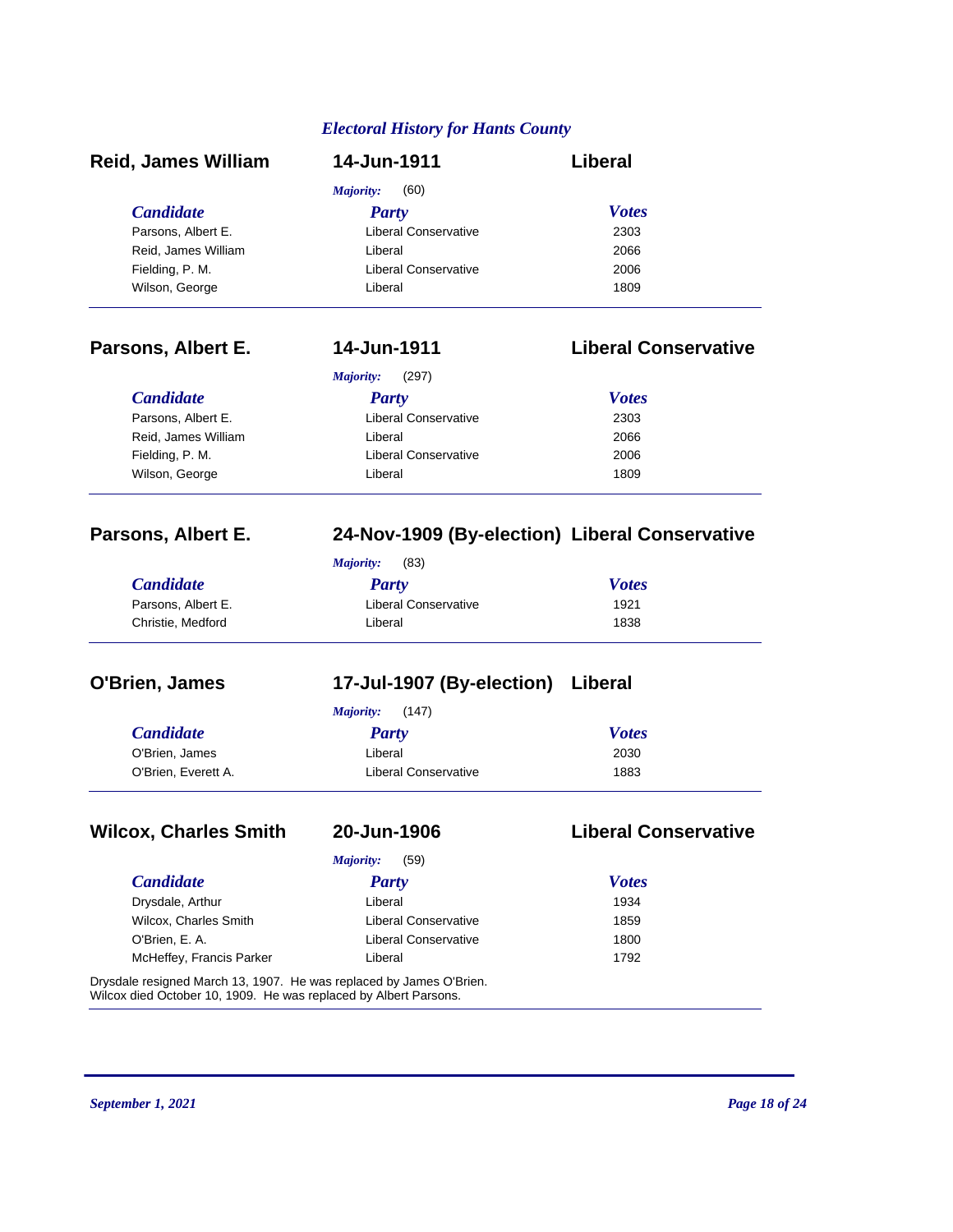| <b>Reid, James William</b> | 14-Jun-1911                                    | Liberal                     |
|----------------------------|------------------------------------------------|-----------------------------|
|                            | Majority:<br>(60)                              |                             |
| <b>Candidate</b>           | <b>Party</b>                                   | <b>Votes</b>                |
| Parsons, Albert E.         | <b>Liberal Conservative</b>                    | 2303                        |
| Reid, James William        | Liberal                                        | 2066                        |
| Fielding, P. M.            | <b>Liberal Conservative</b>                    | 2006                        |
| Wilson, George             | Liberal                                        | 1809                        |
| Parsons, Albert E.         | 14-Jun-1911                                    | <b>Liberal Conservative</b> |
|                            | <b>Majority:</b><br>(297)                      |                             |
| <b>Candidate</b>           | <b>Party</b>                                   | <b>Votes</b>                |
| Parsons, Albert E.         | <b>Liberal Conservative</b>                    | 2303                        |
| Reid, James William        | Liberal                                        | 2066                        |
| Fielding, P. M.            | <b>Liberal Conservative</b>                    | 2006                        |
| Wilson, George             | Liberal                                        | 1809                        |
| Parsons, Albert E.         | 24-Nov-1909 (By-election) Liberal Conservative |                             |
|                            | Majority:<br>(83)                              |                             |
| <b>Candidate</b>           | <b>Party</b>                                   | <b>Votes</b>                |
| Parsons, Albert E.         | <b>Liberal Conservative</b>                    | 1921                        |
| Christie, Medford          | Liberal                                        | 1838                        |
| O'Brien, James             | 17-Jul-1907 (By-election) Liberal              |                             |
|                            | <b>Majority:</b><br>(147)                      |                             |
| <b>Candidate</b>           | <b>Party</b>                                   | <b>Votes</b>                |
| O'Brien, James             | Liberal                                        | 2030                        |
| O'Brien, Everett A.        | <b>Liberal Conservative</b>                    | 1883                        |

# **Wilcox, Charles Smith 20-Jun-1906 Liberal Conservative**

| <b>Candidate</b>         | <b>Party</b>                | <b>Votes</b> |
|--------------------------|-----------------------------|--------------|
| Drysdale, Arthur         | Liberal                     | 1934         |
| Wilcox, Charles Smith    | <b>Liberal Conservative</b> | 1859         |
| O'Brien, E. A.           | <b>Liberal Conservative</b> | 1800         |
| McHeffey, Francis Parker | Liberal                     | 1792         |

Drysdale resigned March 13, 1907. He was replaced by James O'Brien. Wilcox died October 10, 1909. He was replaced by Albert Parsons.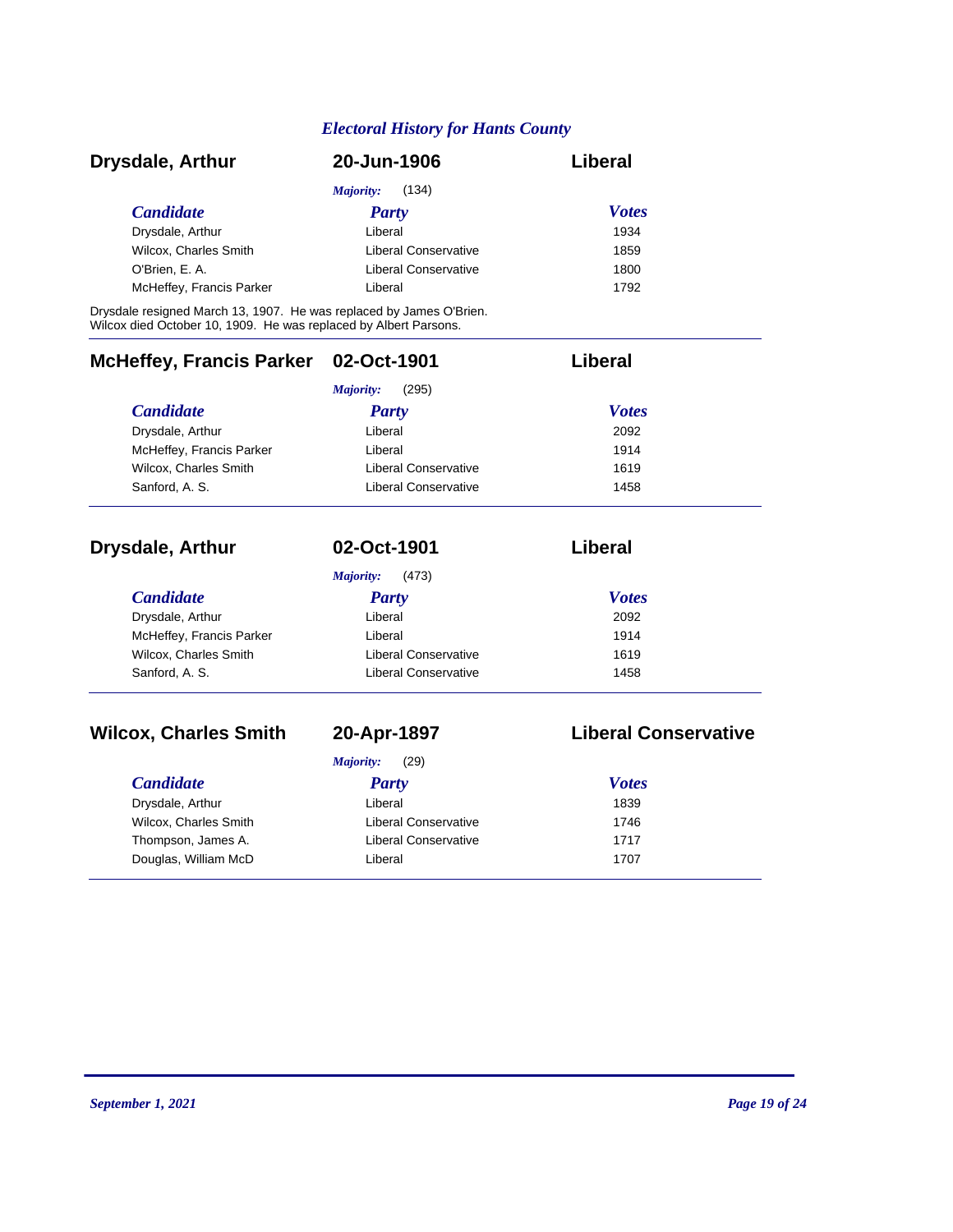| Drysdale, Arthur         | 20-Jun-1906          | Liberal      |
|--------------------------|----------------------|--------------|
|                          | (134)<br>Majority:   |              |
| <i>Candidate</i>         | <b>Party</b>         | <b>Votes</b> |
| Drysdale, Arthur         | Liberal              | 1934         |
| Wilcox, Charles Smith    | Liberal Conservative | 1859         |
| O'Brien, E. A.           | Liberal Conservative | 1800         |
| McHeffey, Francis Parker | Liberal              | 1792         |

Drysdale resigned March 13, 1907. He was replaced by James O'Brien. Wilcox died October 10, 1909. He was replaced by Albert Parsons.

| McHeffey, Francis Parker 02-Oct-1901 |                      | Liberal      |
|--------------------------------------|----------------------|--------------|
|                                      | (295)<br>Majority:   |              |
| <b>Candidate</b>                     | <b>Party</b>         | <b>Votes</b> |
| Drysdale, Arthur                     | Liberal              | 2092         |
| McHeffey, Francis Parker             | Liberal              | 1914         |
| Wilcox, Charles Smith                | Liberal Conservative | 1619         |
| Sanford, A. S.                       | Liberal Conservative | 1458         |

| <b>Drysdale, Arthur</b>  | 02-Oct-1901          | Liberal      |  |
|--------------------------|----------------------|--------------|--|
|                          | (473)<br>Majority:   |              |  |
| <b>Candidate</b>         | <b>Party</b>         | <b>Votes</b> |  |
| Drysdale, Arthur         | Liberal              | 2092         |  |
| McHeffey, Francis Parker | Liberal              | 1914         |  |
| Wilcox, Charles Smith    | Liberal Conservative | 1619         |  |
| Sanford, A. S.           | Liberal Conservative | 1458         |  |

# **Wilcox, Charles Smith 20-Apr-1897 Liberal Conservative**

| (29)<br>Majority:     |                      |              |  |
|-----------------------|----------------------|--------------|--|
| <b>Candidate</b>      | <b>Party</b>         | <b>Votes</b> |  |
| Drysdale, Arthur      | Liberal              | 1839         |  |
| Wilcox, Charles Smith | Liberal Conservative | 1746         |  |
| Thompson, James A.    | Liberal Conservative | 1717         |  |
| Douglas, William McD  | Liberal              | 1707         |  |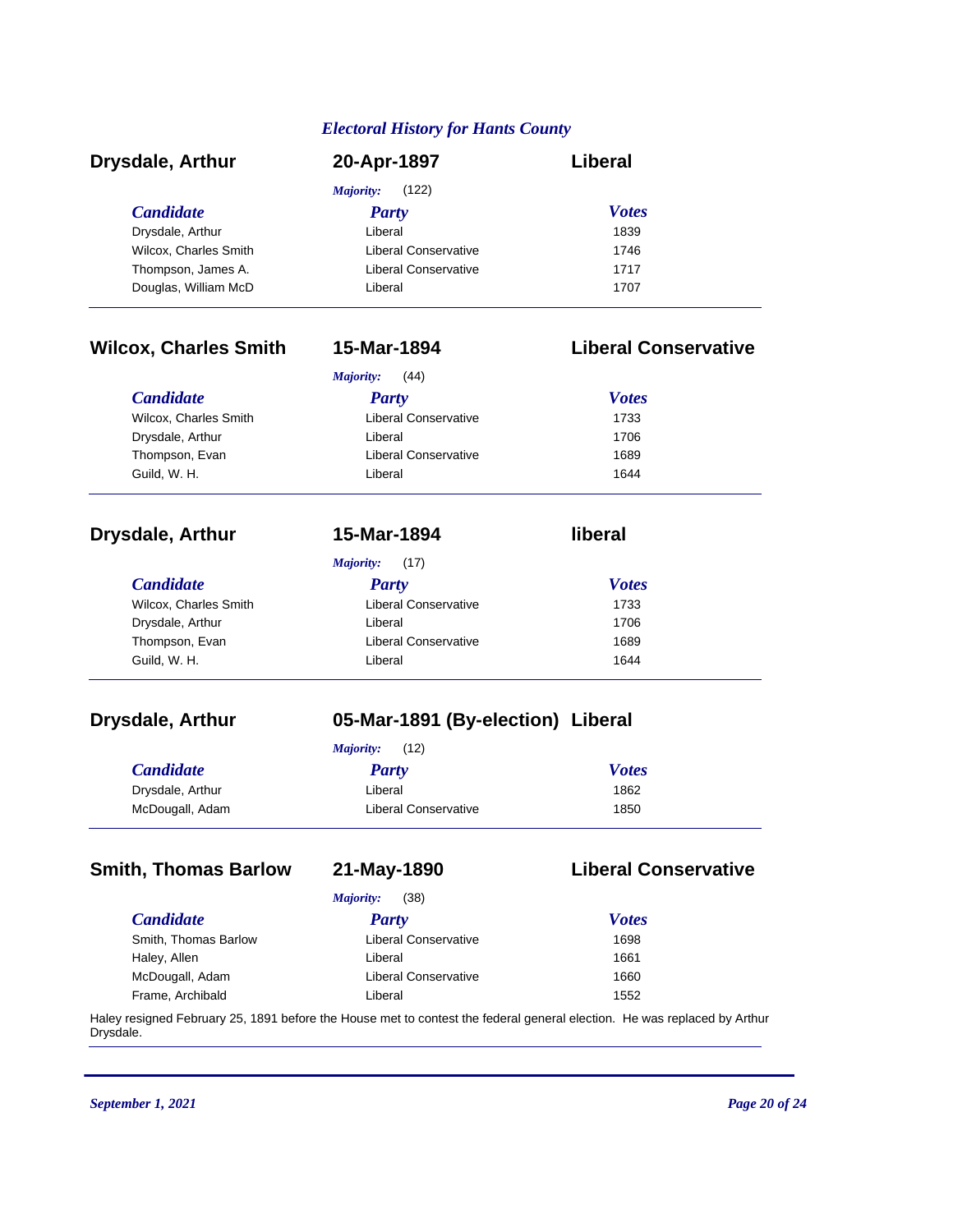| <b>Drysdale, Arthur</b> | 20-Apr-1897                 | Liberal      |  |
|-------------------------|-----------------------------|--------------|--|
|                         | (122)<br>Majority:          |              |  |
| <i>Candidate</i>        | Party                       | <b>Votes</b> |  |
| Drysdale, Arthur        | Liberal                     | 1839         |  |
| Wilcox, Charles Smith   | Liberal Conservative        | 1746         |  |
| Thompson, James A.      | <b>Liberal Conservative</b> | 1717         |  |
| Douglas, William McD    | Liberal                     | 1707         |  |

# **Wilcox, Charles Smith 15-Mar-1894 Liberal Conservative**

*Majority:* (17)

| (44)<br>Majority:     |                             |              |  |  |
|-----------------------|-----------------------------|--------------|--|--|
| <i>Candidate</i>      | Party                       | <b>Votes</b> |  |  |
| Wilcox, Charles Smith | <b>Liberal Conservative</b> | 1733         |  |  |
| Drysdale, Arthur      | Liberal                     | 1706         |  |  |
| Thompson, Evan        | Liberal Conservative        | 1689         |  |  |
| Guild, W. H.          | Liberal                     | 1644         |  |  |

### **Drysdale, Arthur 15-Mar-1894 liberal**

*Candidate Party Votes* Wilcox, Charles Smith **Liberal Conservative** 1733 Drysdale, Arthur **Liberal** Liberal 1706 Thompson, Evan **Liberal Conservative** 1689 Guild, W. H. Communication of the University Communication of the University of the University Of the University Of the University of the University Of the University Of the University Of the University Of the University O

# **Drysdale, Arthur 05-Mar-1891 (By-election) Liberal**

|                  | (12)<br>Majority:    |              |
|------------------|----------------------|--------------|
| <b>Candidate</b> | Party                | <b>Votes</b> |
| Drysdale, Arthur | Liberal              | 1862         |
| McDougall, Adam  | Liberal Conservative | 1850         |

### **Smith, Thomas Barlow 21-May-1890 Liberal Conservative**

| (38)<br>Majority:    |                             |              |  |
|----------------------|-----------------------------|--------------|--|
| <i>Candidate</i>     | <b>Party</b>                | <b>Votes</b> |  |
| Smith, Thomas Barlow | <b>Liberal Conservative</b> | 1698         |  |
| Haley, Allen         | Liberal                     | 1661         |  |
| McDougall, Adam      | <b>Liberal Conservative</b> | 1660         |  |
| Frame, Archibald     | Liberal                     | 1552         |  |

Haley resigned February 25, 1891 before the House met to contest the federal general election. He was replaced by Arthur Drysdale.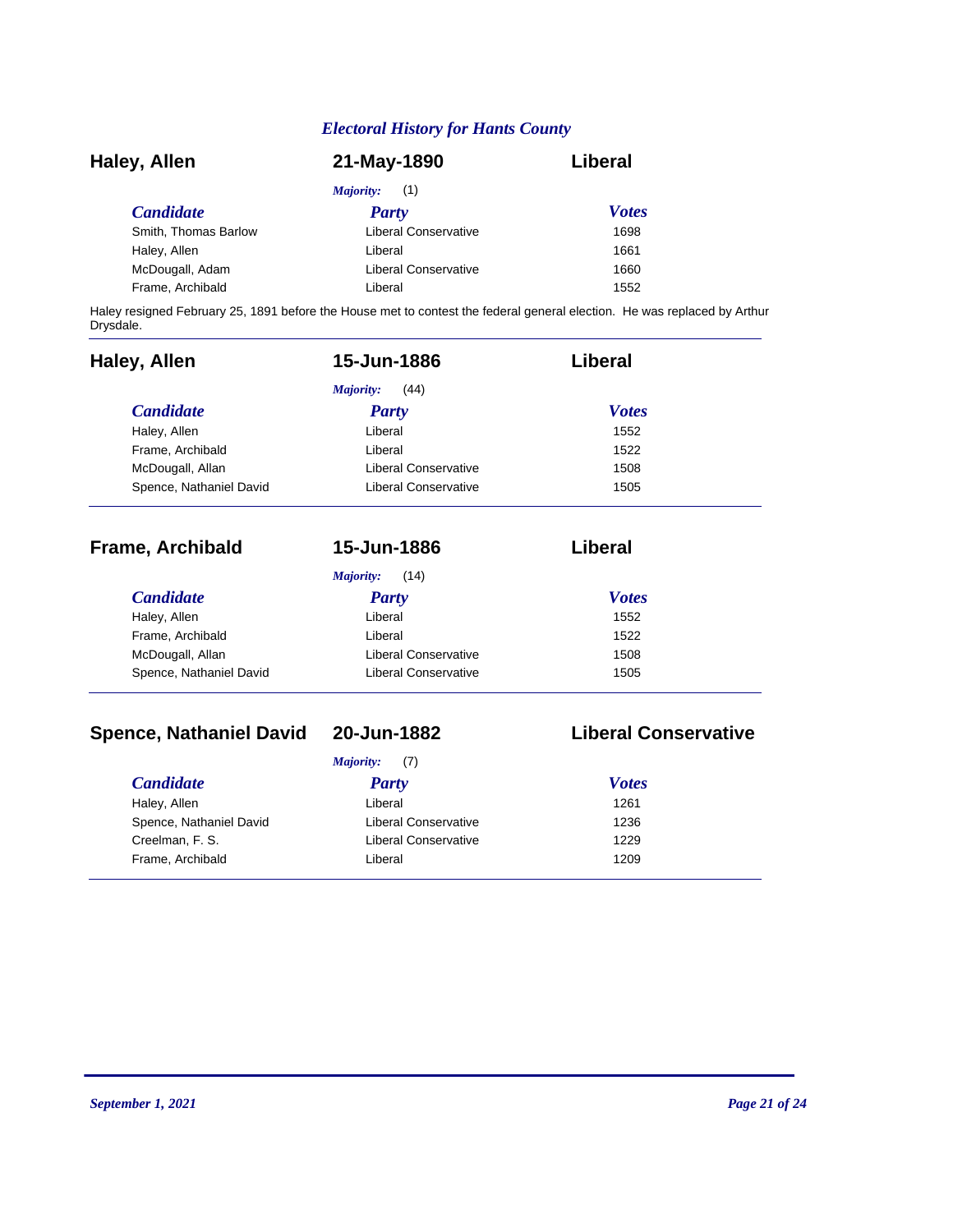| Haley, Allen         | 21-May-1890                 | Liberal      |
|----------------------|-----------------------------|--------------|
|                      | Majority:<br>(1)            |              |
| <b>Candidate</b>     | Party                       | <b>Votes</b> |
| Smith, Thomas Barlow | Liberal Conservative        | 1698         |
| Haley, Allen         | Liberal                     | 1661         |
| McDougall, Adam      | <b>Liberal Conservative</b> | 1660         |
| Frame, Archibald     | Liberal                     | 1552         |

Haley resigned February 25, 1891 before the House met to contest the federal general election. He was replaced by Arthur Drysdale.

| Haley, Allen            | 15-Jun-1886                 | Liberal      |  |
|-------------------------|-----------------------------|--------------|--|
|                         | Majority:<br>(44)           |              |  |
| <b>Candidate</b>        | <b>Party</b>                | <b>Votes</b> |  |
| Haley, Allen            | Liberal                     | 1552         |  |
| Frame, Archibald        | Liberal                     | 1522         |  |
| McDougall, Allan        | Liberal Conservative        | 1508         |  |
| Spence, Nathaniel David | <b>Liberal Conservative</b> | 1505         |  |
| <b>Frame, Archibald</b> | 15-Jun-1886                 | Liberal      |  |
|                         | Majority:<br>(14)           |              |  |
| <b>Candidate</b>        | Party                       | <b>Votes</b> |  |
| Haley, Allen            | Liberal                     | 1552         |  |

| Spence, Nathaniel David | Liberal Conservative | 1505 |
|-------------------------|----------------------|------|
| McDougall, Allan        | Liberal Conservative | 1508 |
| Frame, Archibald        | ∟iberal              | 1522 |

# **Spence, Nathaniel David 20-Jun-1882 Liberal Conservative**

|                         | <i>Majority:</i> (7) |              |
|-------------------------|----------------------|--------------|
| <i>Candidate</i>        | <b>Party</b>         | <b>Votes</b> |
| Haley, Allen            | Liberal              | 1261         |
| Spence, Nathaniel David | Liberal Conservative | 1236         |
| Creelman, F. S.         | Liberal Conservative | 1229         |
| Frame, Archibald        | Liberal              | 1209         |

 $\frac{1}{2}$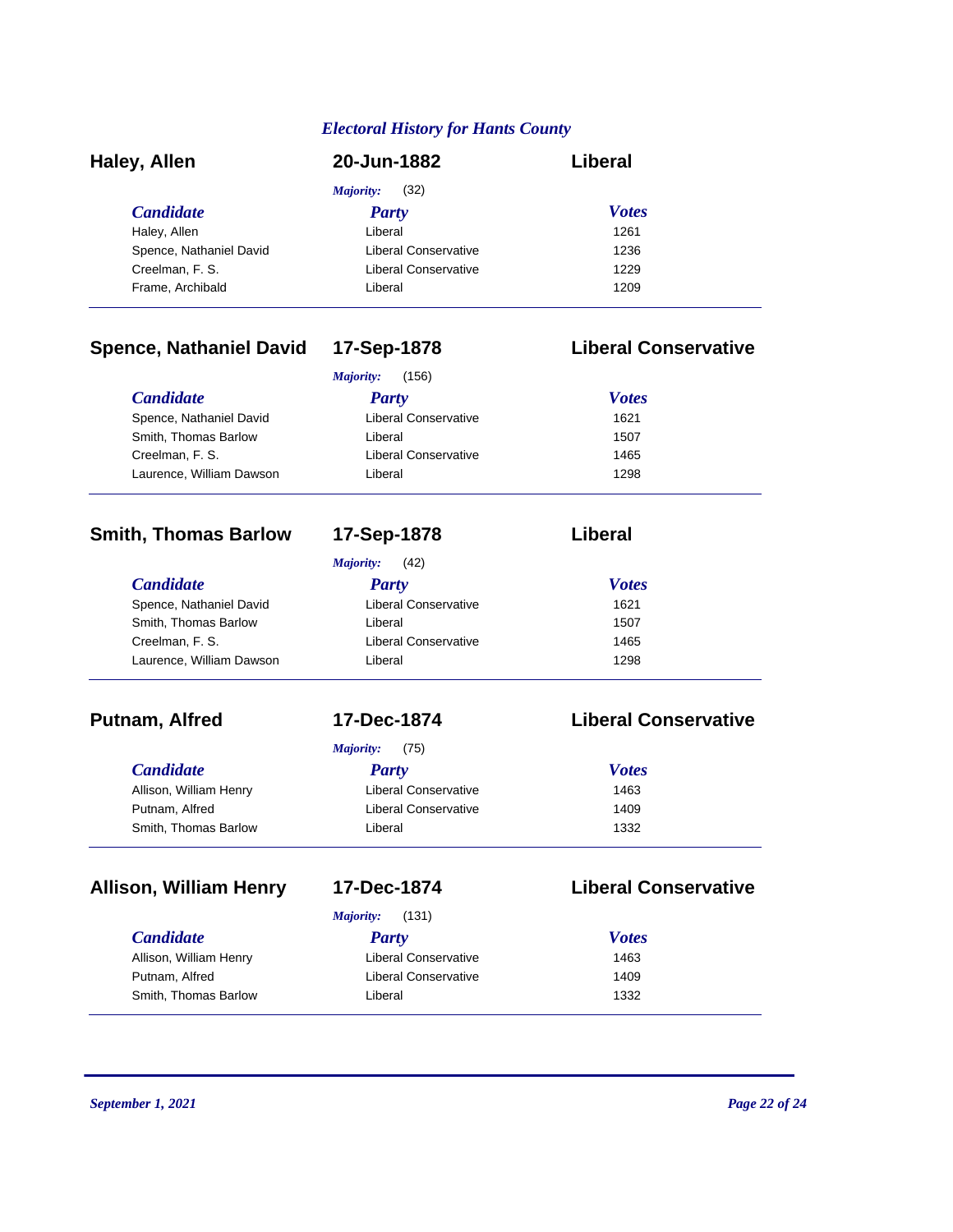| Haley, Allen            | 20-Jun-1882                 | Liberal      |  |
|-------------------------|-----------------------------|--------------|--|
|                         | (32)<br>Majority:           |              |  |
| <b>Candidate</b>        | <b>Party</b>                | <b>Votes</b> |  |
| Haley, Allen            | Liberal                     | 1261         |  |
| Spence, Nathaniel David | <b>Liberal Conservative</b> | 1236         |  |
| Creelman, F. S.         | Liberal Conservative        | 1229         |  |
| Frame, Archibald        | Liberal                     | 1209         |  |

## **Spence, Nathaniel David 17-Sep-1878 Liberal Conservative**

| (156)<br>Majority:       |                      |              |  |
|--------------------------|----------------------|--------------|--|
| <i>Candidate</i>         | <b>Party</b>         | <b>Votes</b> |  |
| Spence, Nathaniel David  | Liberal Conservative | 1621         |  |
| Smith, Thomas Barlow     | Liberal              | 1507         |  |
| Creelman, F. S.          | Liberal Conservative | 1465         |  |
| Laurence, William Dawson | Liberal              | 1298         |  |

### **Smith, Thomas Barlow 17-Sep-1878 Liberal**

### *Candidate Party Votes Majority:* (42) Spence, Nathaniel David Liberal Conservative 1621 Smith, Thomas Barlow **Liberal** 1507 Creelman, F. S. Liberal Conservative 1465 Laurence, William Dawson Liberal Liberal 1298

| <i>Candidate</i>       | Party                | <b>Votes</b> |
|------------------------|----------------------|--------------|
| Allison, William Henry | Liberal Conservative | 1463         |
| Putnam, Alfred         | Liberal Conservative | 1409         |
| Smith, Thomas Barlow   | Liberal              | 1332         |

### **Allison, William Henry 17-Dec-1874 Liberal Conservative**

| <b>Candidate</b> |
|------------------|
|------------------|

*Majority:* (75)

### **Putnam, Alfred 17-Dec-1874 Liberal Conservative**

| <b>Votes</b> |  |
|--------------|--|
| 1463         |  |
| 1409         |  |
| 1332         |  |

| (131)<br>Majority:     |                      |              |  |
|------------------------|----------------------|--------------|--|
| <b>Candidate</b>       | Party                | <b>Votes</b> |  |
| Allison, William Henry | Liberal Conservative | 1463         |  |
| Putnam, Alfred         | Liberal Conservative | 1409         |  |
| Smith, Thomas Barlow   | Liberal              | 1332         |  |

 $\overline{\phantom{0}}$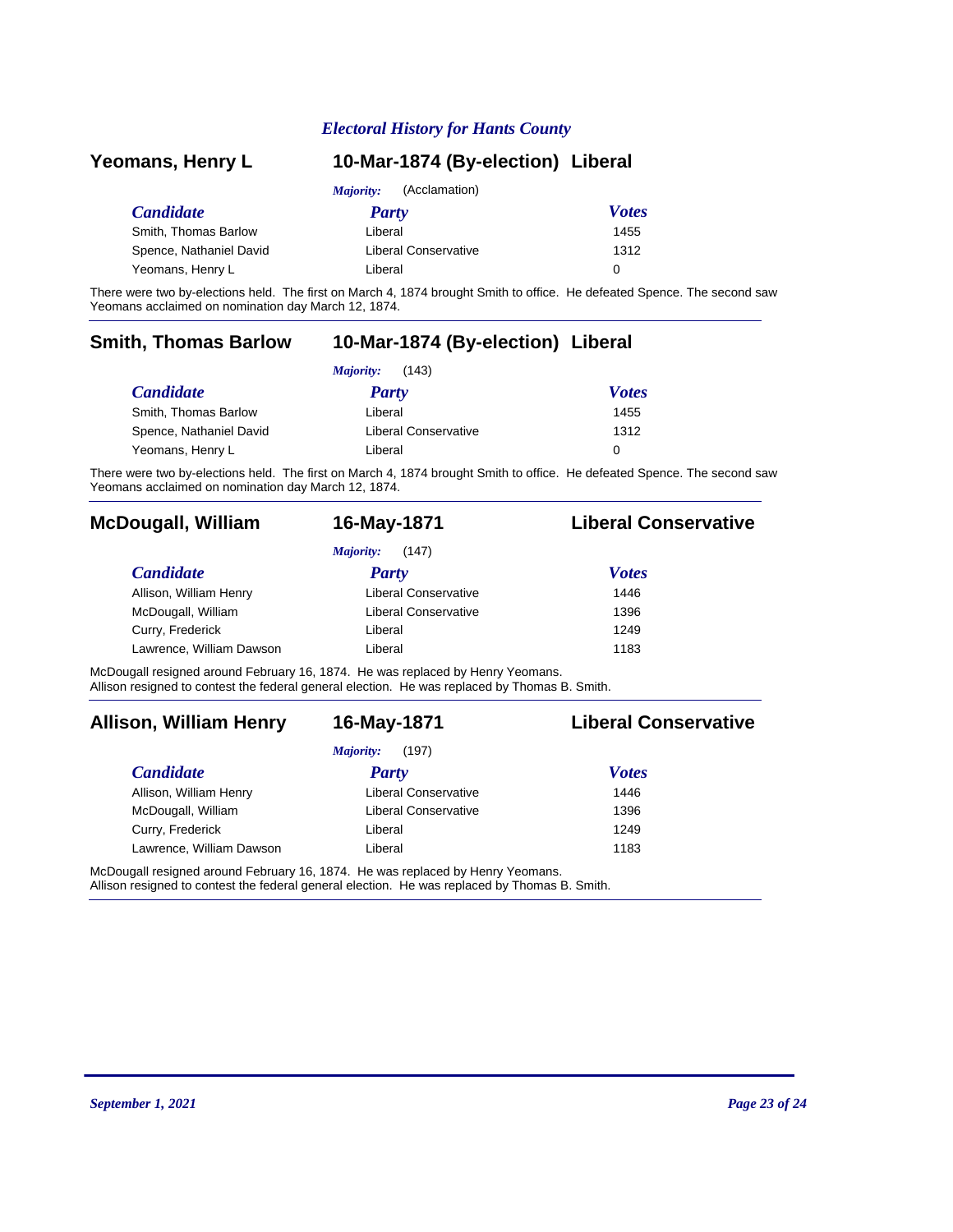| Yeomans, Henry L        | 10-Mar-1874 (By-election) Liberal |              |  |
|-------------------------|-----------------------------------|--------------|--|
|                         | (Acclamation)<br><i>Majority:</i> |              |  |
| <b>Candidate</b>        | Party                             | <b>Votes</b> |  |
| Smith, Thomas Barlow    | Liberal                           | 1455         |  |
| Spence, Nathaniel David | <b>Liberal Conservative</b>       | 1312         |  |
| Yeomans, Henry L        | Liberal                           | 0            |  |

There were two by-elections held. The first on March 4, 1874 brought Smith to office. He defeated Spence. The second saw Yeomans acclaimed on nomination day March 12, 1874.

# **Smith, Thomas Barlow 10-Mar-1874 (By-election) Liberal**

| (143)<br>Majority:      |                      |              |  |
|-------------------------|----------------------|--------------|--|
| <i>Candidate</i>        | Party                | <b>Votes</b> |  |
| Smith, Thomas Barlow    | Liberal              | 1455         |  |
| Spence, Nathaniel David | Liberal Conservative | 1312         |  |
| Yeomans, Henry L        | Liberal              | 0            |  |

There were two by-elections held. The first on March 4, 1874 brought Smith to office. He defeated Spence. The second saw Yeomans acclaimed on nomination day March 12, 1874.

### **McDougall, William 16-May-1871 Liberal Conservative**

| (147)<br>Majority:       |                             |              |  |
|--------------------------|-----------------------------|--------------|--|
| <i>Candidate</i>         | <b>Party</b>                | <b>Votes</b> |  |
| Allison, William Henry   | <b>Liberal Conservative</b> | 1446         |  |
| McDougall, William       | <b>Liberal Conservative</b> | 1396         |  |
| Curry, Frederick         | Liberal                     | 1249         |  |
| Lawrence, William Dawson | Liberal                     | 1183         |  |

McDougall resigned around February 16, 1874. He was replaced by Henry Yeomans. Allison resigned to contest the federal general election. He was replaced by Thomas B. Smith.

### **Allison, William Henry 16-May-1871 Liberal Conservative**

| (197)<br>Majority:       |                             |              |  |
|--------------------------|-----------------------------|--------------|--|
| <b>Candidate</b>         | <b>Party</b>                | <b>Votes</b> |  |
| Allison, William Henry   | <b>Liberal Conservative</b> | 1446         |  |
| McDougall, William       | <b>Liberal Conservative</b> | 1396         |  |
| Curry, Frederick         | Liberal                     | 1249         |  |
| Lawrence, William Dawson | Liberal                     | 1183         |  |

McDougall resigned around February 16, 1874. He was replaced by Henry Yeomans.

Allison resigned to contest the federal general election. He was replaced by Thomas B. Smith.